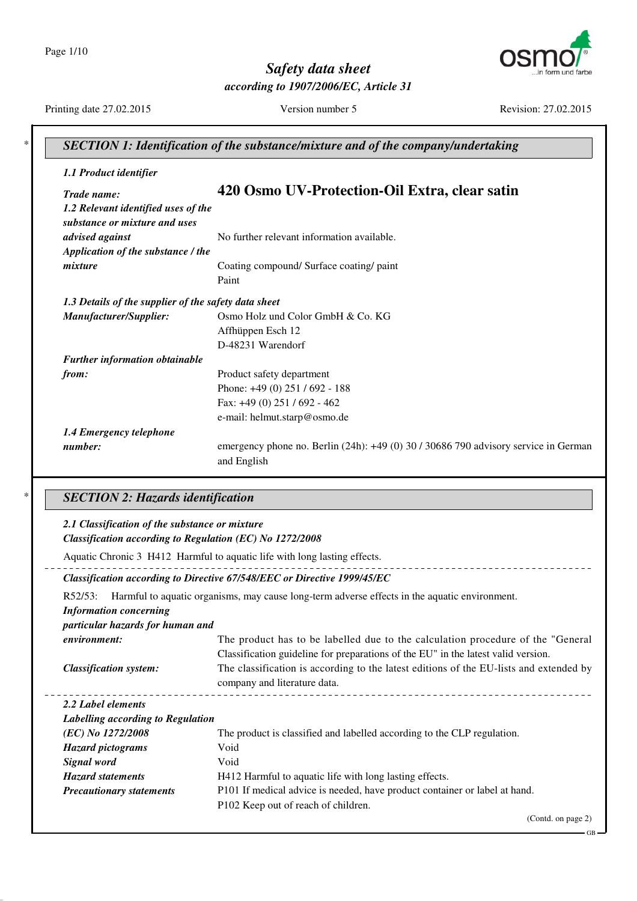Page 1/10



*Safety data sheet according to 1907/2006/EC, Article 31*

Printing date 27.02.2015 Version number 5 Revision: 27.02.2015

| 1.1 Product identifier                                   |                                                                                                                                                                                                            |
|----------------------------------------------------------|------------------------------------------------------------------------------------------------------------------------------------------------------------------------------------------------------------|
| Trade name:                                              | 420 Osmo UV-Protection-Oil Extra, clear satin                                                                                                                                                              |
| 1.2 Relevant identified uses of the                      |                                                                                                                                                                                                            |
| substance or mixture and uses                            |                                                                                                                                                                                                            |
| advised against                                          | No further relevant information available.                                                                                                                                                                 |
| Application of the substance / the                       |                                                                                                                                                                                                            |
| mixture                                                  | Coating compound/ Surface coating/ paint                                                                                                                                                                   |
|                                                          | Paint                                                                                                                                                                                                      |
| 1.3 Details of the supplier of the safety data sheet     |                                                                                                                                                                                                            |
| Manufacturer/Supplier:                                   | Osmo Holz und Color GmbH & Co. KG                                                                                                                                                                          |
|                                                          | Affhüppen Esch 12                                                                                                                                                                                          |
|                                                          | D-48231 Warendorf                                                                                                                                                                                          |
| Further information obtainable                           |                                                                                                                                                                                                            |
| from:                                                    | Product safety department                                                                                                                                                                                  |
|                                                          | Phone: +49 (0) 251 / 692 - 188                                                                                                                                                                             |
|                                                          | Fax: +49 (0) 251 / 692 - 462                                                                                                                                                                               |
|                                                          | e-mail: helmut.starp@osmo.de                                                                                                                                                                               |
| 1.4 Emergency telephone                                  |                                                                                                                                                                                                            |
| number:                                                  | emergency phone no. Berlin (24h): +49 (0) 30 / 30686 790 advisory service in German                                                                                                                        |
|                                                          | and English                                                                                                                                                                                                |
| <b>SECTION 2: Hazards identification</b>                 |                                                                                                                                                                                                            |
|                                                          |                                                                                                                                                                                                            |
| 2.1 Classification of the substance or mixture           |                                                                                                                                                                                                            |
| Classification according to Regulation (EC) No 1272/2008 |                                                                                                                                                                                                            |
|                                                          | Aquatic Chronic 3 H412 Harmful to aquatic life with long lasting effects.                                                                                                                                  |
|                                                          | Classification according to Directive 67/548/EEC or Directive 1999/45/EC                                                                                                                                   |
| R52/53:                                                  | Harmful to aquatic organisms, may cause long-term adverse effects in the aquatic environment.                                                                                                              |
| <b>Information concerning</b>                            |                                                                                                                                                                                                            |
| particular hazards for human and                         |                                                                                                                                                                                                            |
| environment:                                             |                                                                                                                                                                                                            |
|                                                          | Classification guideline for preparations of the EU" in the latest valid version.                                                                                                                          |
| <b>Classification system:</b>                            |                                                                                                                                                                                                            |
| 2.2 Label elements                                       | The product has to be labelled due to the calculation procedure of the "General"<br>The classification is according to the latest editions of the EU-lists and extended by<br>company and literature data. |
|                                                          |                                                                                                                                                                                                            |
| Labelling according to Regulation                        |                                                                                                                                                                                                            |
| (EC) No 1272/2008                                        | The product is classified and labelled according to the CLP regulation.                                                                                                                                    |
| <b>Hazard</b> pictograms                                 | Void<br>Void                                                                                                                                                                                               |
| Signal word<br><b>Hazard statements</b>                  |                                                                                                                                                                                                            |
|                                                          | H412 Harmful to aquatic life with long lasting effects.                                                                                                                                                    |
| <b>Precautionary statements</b>                          | P101 If medical advice is needed, have product container or label at hand.<br>P102 Keep out of reach of children.                                                                                          |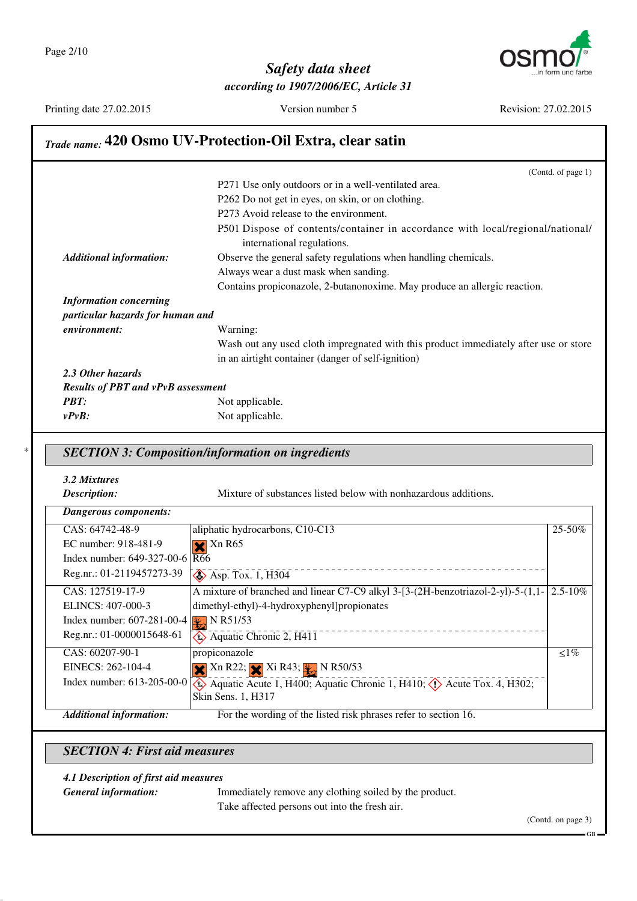

Printing date 27.02.2015 Version number 5 Revision: 27.02.2015

### *Trade name:* **420 Osmo UV-Protection-Oil Extra, clear satin**

|                                           | (Contd. of page 1)                                                                                           |
|-------------------------------------------|--------------------------------------------------------------------------------------------------------------|
|                                           | P271 Use only outdoors or in a well-ventilated area.                                                         |
|                                           | P262 Do not get in eyes, on skin, or on clothing.                                                            |
|                                           | P273 Avoid release to the environment.                                                                       |
|                                           | P501 Dispose of contents/container in accordance with local/regional/national/<br>international regulations. |
| <b>Additional information:</b>            | Observe the general safety regulations when handling chemicals.                                              |
|                                           | Always wear a dust mask when sanding.                                                                        |
|                                           | Contains propiconazole, 2-butanonoxime. May produce an allergic reaction.                                    |
| <b>Information concerning</b>             |                                                                                                              |
| particular hazards for human and          |                                                                                                              |
| environment:                              | Warning:                                                                                                     |
|                                           | Wash out any used cloth impregnated with this product immediately after use or store                         |
|                                           | in an airtight container (danger of self-ignition)                                                           |
| 2.3 Other hazards                         |                                                                                                              |
| <b>Results of PBT and vPvB assessment</b> |                                                                                                              |
| <b>PBT:</b>                               | Not applicable.                                                                                              |
| $v P v B$ :                               | Not applicable.                                                                                              |

## \* *SECTION 3: Composition/information on ingredients*

*3.2 Mixtures*

**Description:** Mixture of substances listed below with nonhazardous additions.

| <b>Dangerous components:</b>                              |                                                                                             |            |
|-----------------------------------------------------------|---------------------------------------------------------------------------------------------|------------|
| CAS: 64742-48-9                                           | aliphatic hydrocarbons, C10-C13                                                             | 25-50%     |
| EC number: 918-481-9                                      | $\blacktriangleright$ Xn R65                                                                |            |
| Index number: $649-327-00-6$ $\overline{R66}$             |                                                                                             |            |
| Reg.nr.: 01-2119457273-39                                 | $\diamond$ Asp. Tox. 1, H304                                                                |            |
| CAS: 127519-17-9                                          | A mixture of branched and linear C7-C9 alkyl $3-[3-(2H-benzotriazol-2-yl)-5-(1,1-[2.5-10\%$ |            |
| ELINCS: 407-000-3                                         | dimethyl-ethyl)-4-hydroxyphenyl]propionates                                                 |            |
| Index number: 607-281-00-4 $\sqrt{\frac{1}{12}}$ N R51/53 |                                                                                             |            |
| Reg.nr.: 01-0000015648-61                                 | $\leftrightarrow$ Aquatic Chronic 2, H411                                                   |            |
| CAS: 60207-90-1                                           | propiconazole                                                                               | $\leq 1\%$ |
| EINECS: 262-104-4                                         | $\mathbf{X}$ Xn R22; $\mathbf{X}$ Xi R43; $\mathbf{Y}$ N R50/53                             |            |
| Index number: $613-205-00-0$                              | Aquatic Acute 1, H400; Aquatic Chronic 1, H410; $\langle \cdot \rangle$ Acute Tox. 4, H302; |            |
|                                                           | Skin Sens. 1, H317                                                                          |            |
| <b>Additional information:</b>                            | For the wording of the listed risk phrases refer to section 16.                             |            |

*SECTION 4: First aid measures*

#### *4.1 Description of first aid measures*

*General information:* Immediately remove any clothing soiled by the product. Take affected persons out into the fresh air.

(Contd. on page 3)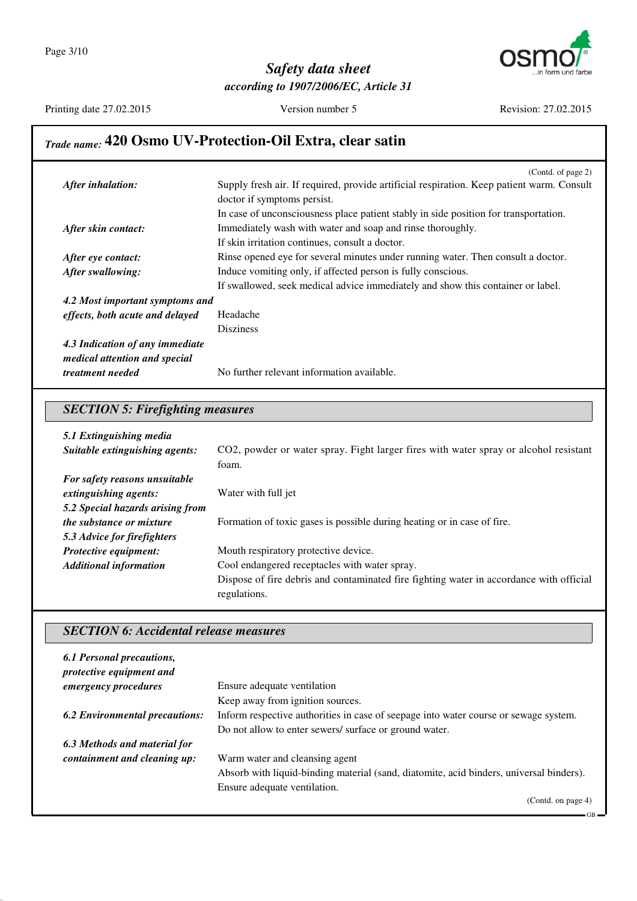

Printing date 27.02.2015 Version number 5 Revision: 27.02.2015

## *Trade name:* **420 Osmo UV-Protection-Oil Extra, clear satin**

|                                 | (Contd. of page 2)                                                                        |
|---------------------------------|-------------------------------------------------------------------------------------------|
| After inhalation:               | Supply fresh air. If required, provide artificial respiration. Keep patient warm. Consult |
|                                 | doctor if symptoms persist.                                                               |
|                                 | In case of unconsciousness place patient stably in side position for transportation.      |
| After skin contact:             | Immediately wash with water and soap and rinse thoroughly.                                |
|                                 | If skin irritation continues, consult a doctor.                                           |
| After eye contact:              | Rinse opened eye for several minutes under running water. Then consult a doctor.          |
| After swallowing:               | Induce vomiting only, if affected person is fully conscious.                              |
|                                 | If swallowed, seek medical advice immediately and show this container or label.           |
| 4.2 Most important symptoms and |                                                                                           |
| effects, both acute and delayed | Headache                                                                                  |
|                                 | <b>Disziness</b>                                                                          |
| 4.3 Indication of any immediate |                                                                                           |
| medical attention and special   |                                                                                           |
| <i>treatment needed</i>         | No further relevant information available.                                                |

### *SECTION 5: Firefighting measures*

| 5.1 Extinguishing media          |                                                                                         |
|----------------------------------|-----------------------------------------------------------------------------------------|
| Suitable extinguishing agents:   | CO2, powder or water spray. Fight larger fires with water spray or alcohol resistant    |
|                                  | foam.                                                                                   |
| For safety reasons unsuitable    |                                                                                         |
| extinguishing agents:            | Water with full jet                                                                     |
| 5.2 Special hazards arising from |                                                                                         |
| <i>the substance or mixture</i>  | Formation of toxic gases is possible during heating or in case of fire.                 |
| 5.3 Advice for firefighters      |                                                                                         |
| <b>Protective equipment:</b>     | Mouth respiratory protective device.                                                    |
| <b>Additional information</b>    | Cool endangered receptacles with water spray.                                           |
|                                  | Dispose of fire debris and contaminated fire fighting water in accordance with official |
|                                  | regulations.                                                                            |

### *SECTION 6: Accidental release measures*

| 6.1 Personal precautions,<br>protective equipment and |                                                                                         |
|-------------------------------------------------------|-----------------------------------------------------------------------------------------|
| emergency procedures                                  | Ensure adequate ventilation                                                             |
|                                                       | Keep away from ignition sources.                                                        |
| <b>6.2 Environmental precautions:</b>                 | Inform respective authorities in case of seepage into water course or sewage system.    |
|                                                       | Do not allow to enter sewers/ surface or ground water.                                  |
| 6.3 Methods and material for                          |                                                                                         |
| containment and cleaning up:                          | Warm water and cleansing agent                                                          |
|                                                       | Absorb with liquid-binding material (sand, diatomite, acid binders, universal binders). |
|                                                       | Ensure adequate ventilation.                                                            |
|                                                       | (Contd. on page 4)                                                                      |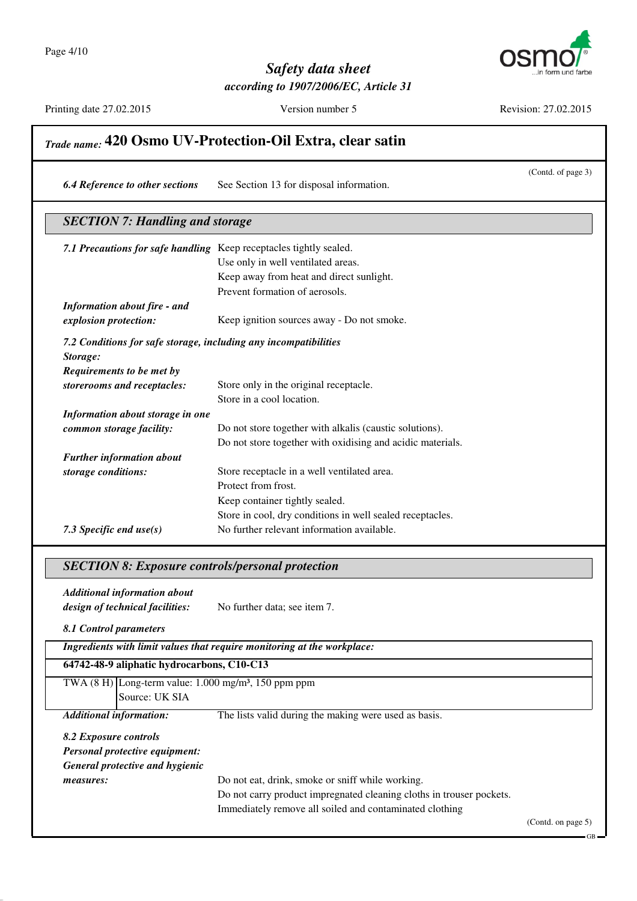

Printing date 27.02.2015 Version number 5 Revision: 27.02.2015

GB

## *Trade name:* **420 Osmo UV-Protection-Oil Extra, clear satin** (Contd. of page 3) *6.4 Reference to other sections* See Section 13 for disposal information. *SECTION 7: Handling and storage 7.1 Precautions for safe handling* Keep receptacles tightly sealed. Use only in well ventilated areas. Keep away from heat and direct sunlight. Prevent formation of aerosols. *Information about fire - and explosion protection:* Keep ignition sources away - Do not smoke. *7.2 Conditions for safe storage, including any incompatibilities Storage: Requirements to be met by storerooms and receptacles:* Store only in the original receptacle. Store in a cool location. *Information about storage in one common storage facility:* Do not store together with alkalis (caustic solutions). Do not store together with oxidising and acidic materials. *Further information about storage conditions:* Store receptacle in a well ventilated area. Protect from frost. Keep container tightly sealed. Store in cool, dry conditions in well sealed receptacles. *7.3 Specific end use(s)* No further relevant information available. *SECTION 8: Exposure controls/personal protection Additional information about design of technical facilities:* No further data; see item 7. *8.1 Control parameters Ingredients with limit values that require monitoring at the workplace:*

| 64742-48-9 aliphatic hydrocarbons, C10-C13                         |                                                                      |                    |
|--------------------------------------------------------------------|----------------------------------------------------------------------|--------------------|
| TWA $(8 H)$ Long-term value: 1.000 mg/m <sup>3</sup> , 150 ppm ppm |                                                                      |                    |
| Source: UK SIA                                                     |                                                                      |                    |
| <b>Additional information:</b>                                     | The lists valid during the making were used as basis.                |                    |
| 8.2 Exposure controls                                              |                                                                      |                    |
| <b>Personal protective equipment:</b>                              |                                                                      |                    |
| General protective and hygienic                                    |                                                                      |                    |
| measures:                                                          | Do not eat, drink, smoke or sniff while working.                     |                    |
|                                                                    | Do not carry product impregnated cleaning cloths in trouser pockets. |                    |
|                                                                    | Immediately remove all soiled and contaminated clothing              |                    |
|                                                                    |                                                                      | (Contd. on page 5) |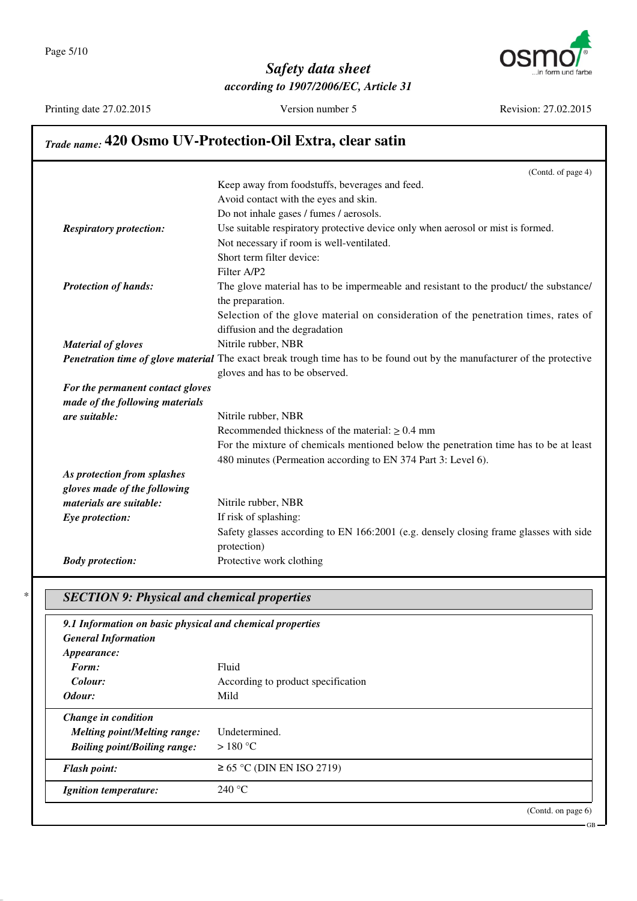

Printing date 27.02.2015 Version number 5 Revision: 27.02.2015

## *Trade name:* **420 Osmo UV-Protection-Oil Extra, clear satin**

|                                  | (Contd. of page 4)                                                                                                       |
|----------------------------------|--------------------------------------------------------------------------------------------------------------------------|
|                                  | Keep away from foodstuffs, beverages and feed.                                                                           |
|                                  | Avoid contact with the eyes and skin.                                                                                    |
|                                  | Do not inhale gases / fumes / aerosols.                                                                                  |
| <b>Respiratory protection:</b>   | Use suitable respiratory protective device only when aerosol or mist is formed.                                          |
|                                  | Not necessary if room is well-ventilated.                                                                                |
|                                  | Short term filter device:                                                                                                |
|                                  | Filter A/P2                                                                                                              |
| <b>Protection of hands:</b>      | The glove material has to be impermeable and resistant to the product/ the substance/                                    |
|                                  | the preparation.                                                                                                         |
|                                  | Selection of the glove material on consideration of the penetration times, rates of                                      |
|                                  | diffusion and the degradation                                                                                            |
| <b>Material of gloves</b>        | Nitrile rubber, NBR                                                                                                      |
|                                  | Penetration time of glove material The exact break trough time has to be found out by the manufacturer of the protective |
|                                  | gloves and has to be observed.                                                                                           |
| For the permanent contact gloves |                                                                                                                          |
| made of the following materials  |                                                                                                                          |
| are suitable:                    | Nitrile rubber, NBR                                                                                                      |
|                                  | Recommended thickness of the material: $\geq 0.4$ mm                                                                     |
|                                  | For the mixture of chemicals mentioned below the penetration time has to be at least                                     |
|                                  | 480 minutes (Permeation according to EN 374 Part 3: Level 6).                                                            |
| As protection from splashes      |                                                                                                                          |
| gloves made of the following     |                                                                                                                          |
| materials are suitable:          | Nitrile rubber, NBR                                                                                                      |
| Eye protection:                  | If risk of splashing:                                                                                                    |
|                                  | Safety glasses according to EN 166:2001 (e.g. densely closing frame glasses with side                                    |
|                                  | protection)                                                                                                              |
| <b>Body protection:</b>          | Protective work clothing                                                                                                 |

## \* *SECTION 9: Physical and chemical properties*

| 9.1 Information on basic physical and chemical properties<br><b>General Information</b> |                                    |                       |
|-----------------------------------------------------------------------------------------|------------------------------------|-----------------------|
| <i>Appearance:</i>                                                                      |                                    |                       |
| Form:                                                                                   | Fluid                              |                       |
| Colour:                                                                                 | According to product specification |                       |
| Odour:                                                                                  | Mild                               |                       |
| Change in condition                                                                     |                                    |                       |
| <b>Melting point/Melting range:</b>                                                     | Undetermined.                      |                       |
| <b>Boiling point/Boiling range:</b>                                                     | $>180^{\circ}$ C                   |                       |
| <b>Flash point:</b>                                                                     | $\geq$ 65 °C (DIN EN ISO 2719)     |                       |
| <i>Ignition temperature:</i>                                                            | 240 °C                             |                       |
|                                                                                         |                                    | (Contd. on page $6$ ) |

GB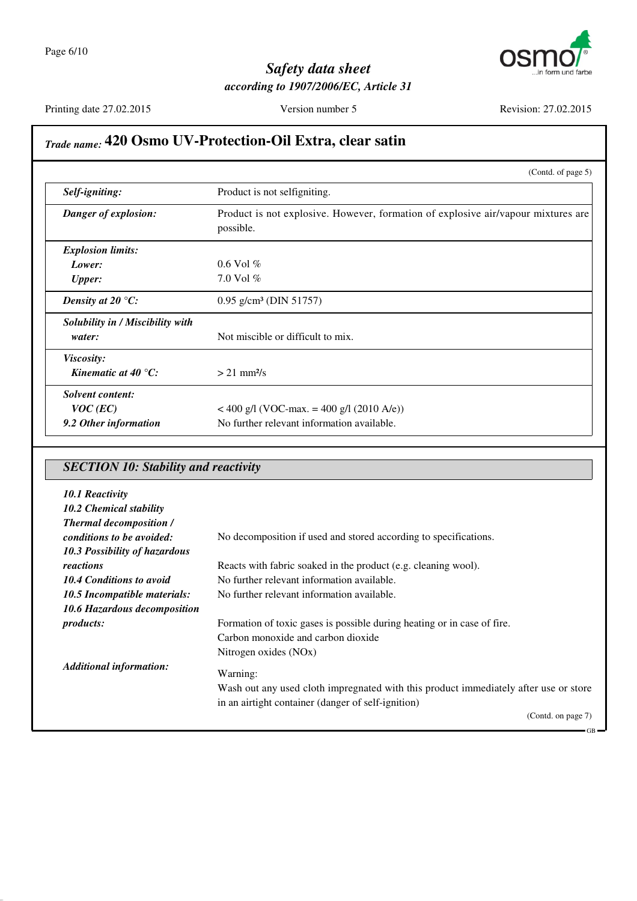

Printing date 27.02.2015 Version number 5 Revision: 27.02.2015

GB

## *Trade name:* **420 Osmo UV-Protection-Oil Extra, clear satin**

|                                     | (Contd. of page 5)                                                                             |
|-------------------------------------|------------------------------------------------------------------------------------------------|
| Self-igniting:                      | Product is not selfigniting.                                                                   |
| Danger of explosion:                | Product is not explosive. However, formation of explosive air/vapour mixtures are<br>possible. |
| <b>Explosion limits:</b>            |                                                                                                |
| Lower:                              | $0.6$ Vol $%$                                                                                  |
| <b>Upper:</b>                       | $7.0$ Vol $%$                                                                                  |
| Density at 20 $\mathrm{^{\circ}C:}$ | $0.95$ g/cm <sup>3</sup> (DIN 51757)                                                           |
| Solubility in / Miscibility with    |                                                                                                |
| water:                              | Not miscible or difficult to mix.                                                              |
| <i>Viscosity:</i>                   |                                                                                                |
| Kinematic at 40 $^{\circ}$ C:       | $> 21$ mm <sup>2</sup> /s                                                                      |
| <b>Solvent content:</b>             |                                                                                                |
| $VOC$ (EC)                          | $<$ 400 g/l (VOC-max. = 400 g/l (2010 A/e))                                                    |
| 9.2 Other information               | No further relevant information available.                                                     |

## *SECTION 10: Stability and reactivity*

| 10.1 Reactivity<br><b>10.2 Chemical stability</b>           |                                                                                      |
|-------------------------------------------------------------|--------------------------------------------------------------------------------------|
| <b>Thermal decomposition /</b><br>conditions to be avoided: | No decomposition if used and stored according to specifications.                     |
| 10.3 Possibility of hazardous                               |                                                                                      |
| reactions                                                   | Reacts with fabric soaked in the product (e.g. cleaning wool).                       |
| <b>10.4 Conditions to avoid</b>                             | No further relevant information available.                                           |
| 10.5 Incompatible materials:                                | No further relevant information available.                                           |
| 10.6 Hazardous decomposition                                |                                                                                      |
| <i>products:</i>                                            | Formation of toxic gases is possible during heating or in case of fire.              |
|                                                             | Carbon monoxide and carbon dioxide                                                   |
|                                                             | Nitrogen oxides (NOx)                                                                |
| <b>Additional information:</b>                              | Warning:                                                                             |
|                                                             | Wash out any used cloth impregnated with this product immediately after use or store |
|                                                             | in an airtight container (danger of self-ignition)                                   |
|                                                             | (Contd. on page 7)                                                                   |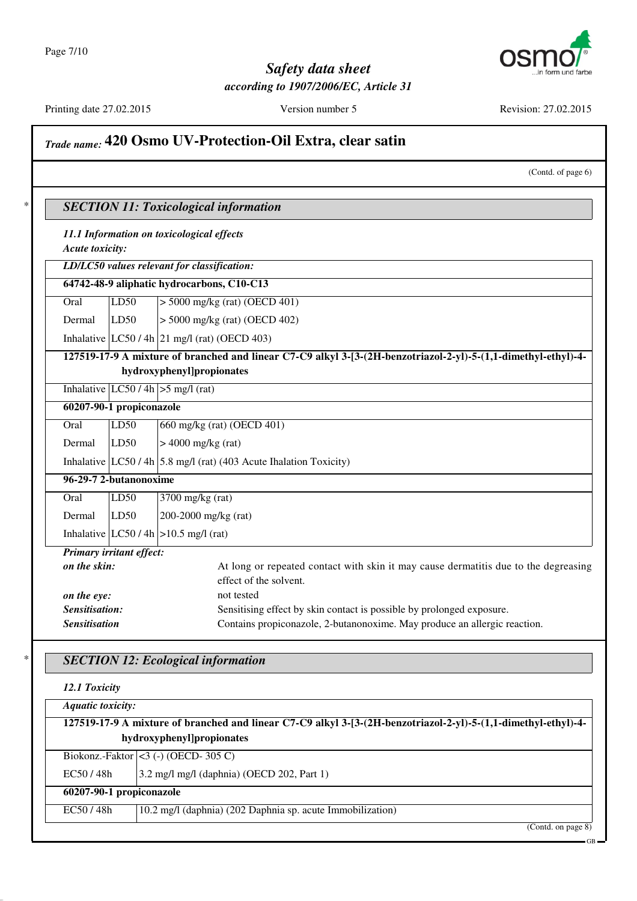

Printing date 27.02.2015 Version number 5 Revision: 27.02.2015

## *Trade name:* **420 Osmo UV-Protection-Oil Extra, clear satin** (Contd. of page 6) \* *SECTION 11: Toxicological information 11.1 Information on toxicological effects Acute toxicity: LD/LC50 values relevant for classification:* **64742-48-9 aliphatic hydrocarbons, C10-C13** Oral LD50 > 5000 mg/kg (rat) (OECD 401) Dermal LD50 > 5000 mg/kg (rat) (OECD 402) Inhalative  $|LC50/4h|$  21 mg/l (rat) (OECD 403) **127519-17-9 A mixture of branched and linear C7-C9 alkyl 3-[3-(2H-benzotriazol-2-yl)-5-(1,1-dimethyl-ethyl)-4 hydroxyphenyl]propionates** Inhalative  $|LC50/4h| > 5$  mg/l (rat) **60207-90-1 propiconazole** Oral LD50 660 mg/kg (rat) (OECD 401) Dermal  $|LD50$   $| > 4000$  mg/kg (rat) Inhalative  $|LC50/4h|$  5.8 mg/l (rat) (403 Acute Ihalation Toxicity) **96-29-7 2-butanonoxime** Oral LD50 3700 mg/kg (rat) Dermal LD50 200-2000 mg/kg (rat) Inhalative  $|LC50/4h| > 10.5$  mg/l (rat) *Primary irritant effect:* **on the skin:** At long or repeated contact with skin it may cause dermatitis due to the degreasing effect of the solvent. *on the eye:* not tested **Sensitisation:** Sensitising effect by skin contact is possible by prolonged exposure. **Sensitisation** Contains propiconazole, 2-butanonoxime. May produce an allergic reaction. \* *SECTION 12: Ecological information 12.1 Toxicity*

| <b>Aquatic toxicity:</b>                                                                                       |                                                            |                    |  |
|----------------------------------------------------------------------------------------------------------------|------------------------------------------------------------|--------------------|--|
| 127519-17-9 A mixture of branched and linear C7-C9 alkyl 3-[3-(2H-benzotriazol-2-yl)-5-(1,1-dimethyl-ethyl)-4- |                                                            |                    |  |
| hydroxyphenyl]propionates                                                                                      |                                                            |                    |  |
|                                                                                                                | Biokonz.-Faktor $ <$ 3 (-) (OECD-305 C)                    |                    |  |
| EC50/48h                                                                                                       | 3.2 mg/l mg/l (daphnia) (OECD 202, Part 1)                 |                    |  |
| 60207-90-1 propiconazole                                                                                       |                                                            |                    |  |
| EC50/48h                                                                                                       | 10.2 mg/l (daphnia) (202 Daphnia sp. acute Immobilization) |                    |  |
|                                                                                                                |                                                            | (Contd. on page 8) |  |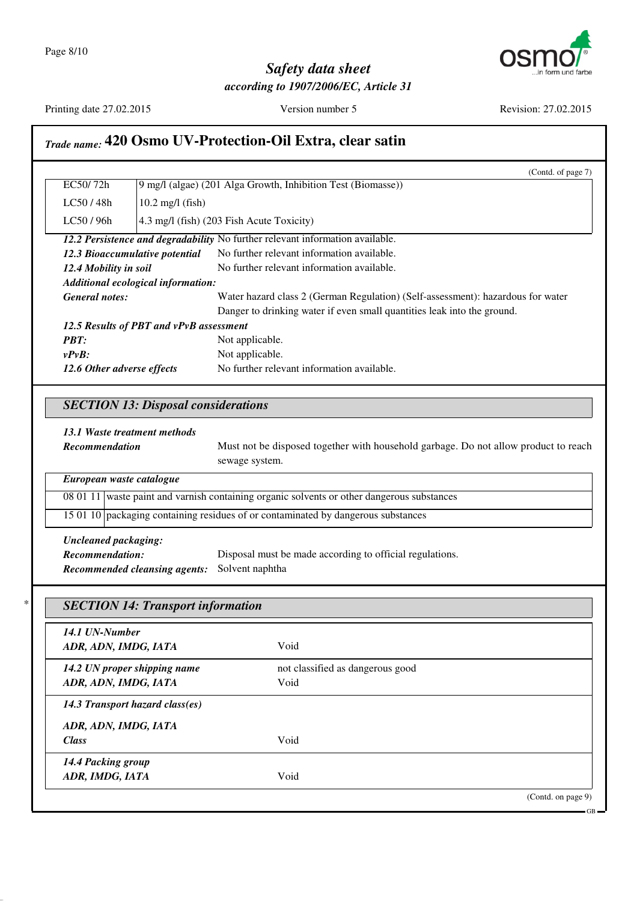

## *Safety data sheet*

*according to 1907/2006/EC, Article 31*

Printing date 27.02.2015 Version number 5 Revision: 27.02.2015

*14.1 UN-Number*

*14.3 Transport hazard class(es)*

*ADR, ADN, IMDG, IATA*

*14.4 Packing group*

*ADR, ADN, IMDG, IATA* Void

*ADR, ADN, IMDG, IATA* Void

*Class* Void

*ADR, IMDG, IATA* Void

*14.2 UN proper shipping name* not classified as dangerous good

(Contd. on page 9)

GB

## *Trade name:* **420 Osmo UV-Protection-Oil Extra, clear satin**

|                                |                                                              | (Contd. of page 7)                                                                         |
|--------------------------------|--------------------------------------------------------------|--------------------------------------------------------------------------------------------|
| EC50/72h                       | 9 mg/l (algae) (201 Alga Growth, Inhibition Test (Biomasse)) |                                                                                            |
| LC50/48h                       | $10.2$ mg/l (fish)                                           |                                                                                            |
| LC50 / 96h                     |                                                              | 4.3 mg/l (fish) (203 Fish Acute Toxicity)                                                  |
|                                |                                                              | 12.2 Persistence and degradability No further relevant information available.              |
| 12.3 Bioaccumulative potential |                                                              | No further relevant information available.                                                 |
| 12.4 Mobility in soil          |                                                              | No further relevant information available.                                                 |
|                                | Additional ecological information:                           |                                                                                            |
| <b>General notes:</b>          |                                                              | Water hazard class 2 (German Regulation) (Self-assessment): hazardous for water            |
|                                |                                                              | Danger to drinking water if even small quantities leak into the ground.                    |
|                                | 12.5 Results of PBT and vPvB assessment                      |                                                                                            |
| <b>PBT:</b>                    |                                                              | Not applicable.                                                                            |
|                                |                                                              |                                                                                            |
| $v P v R$ :                    |                                                              |                                                                                            |
| 12.6 Other adverse effects     | <b>SECTION 13: Disposal considerations</b>                   | Not applicable.<br>No further relevant information available.                              |
|                                |                                                              |                                                                                            |
| 13.1 Waste treatment methods   |                                                              |                                                                                            |
|                                |                                                              |                                                                                            |
| Recommendation                 |                                                              | sewage system.                                                                             |
| European waste catalogue       |                                                              | Must not be disposed together with household garbage. Do not allow product to reach        |
|                                |                                                              | 08 01 11 waste paint and varnish containing organic solvents or other dangerous substances |
|                                |                                                              | 15 01 10 packaging containing residues of or contaminated by dangerous substances          |
| <b>Uncleaned packaging:</b>    |                                                              |                                                                                            |
| Recommendation:                |                                                              | Disposal must be made according to official regulations.                                   |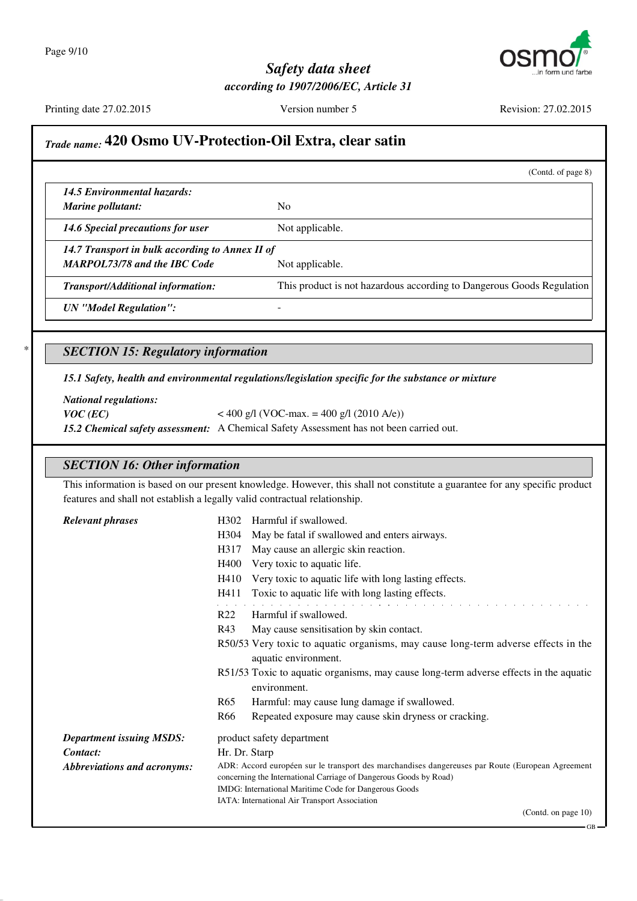

Printing date 27.02.2015 Version number 5 Revision: 27.02.2015

GB

#### *Trade name:* **420 Osmo UV-Protection-Oil Extra, clear satin**

(Contd. of page 8) *14.5 Environmental hazards: Marine pollutant:* No *14.6 Special precautions for user* Not applicable. *14.7 Transport in bulk according to Annex II of MARPOL73/78 and the IBC Code* Not applicable. *Transport/Additional information:* This product is not hazardous according to Dangerous Goods Regulation *UN "Model Regulation":* - \* *SECTION 15: Regulatory information*

*15.1 Safety, health and environmental regulations/legislation specific for the substance or mixture*

*National regulations: VOC* (*EC*)  $<$  400 g/l (VOC-max. = 400 g/l (2010 A/e)) *15.2 Chemical safety assessment:* A Chemical Safety Assessment has not been carried out.

#### *SECTION 16: Other information*

This information is based on our present knowledge. However, this shall not constitute a guarantee for any specific product features and shall not establish a legally valid contractual relationship.

*Relevant phrases* H302 Harmful if swallowed. H304 May be fatal if swallowed and enters airways. H317 May cause an allergic skin reaction. H400 Very toxic to aquatic life. H410 Very toxic to aquatic life with long lasting effects. H411 Toxic to aquatic life with long lasting effects. R22 Harmful if swallowed. R43 May cause sensitisation by skin contact. R50/53 Very toxic to aquatic organisms, may cause long-term adverse effects in the aquatic environment. R51/53 Toxic to aquatic organisms, may cause long-term adverse effects in the aquatic environment. R65 Harmful: may cause lung damage if swallowed. R66 Repeated exposure may cause skin dryness or cracking. *Department issuing MSDS:* product safety department *Contact:* Hr. Dr. Starp *Abbreviations and acronyms:* ADR: Accord européen sur le transport des marchandises dangereuses par Route (European Agreement concerning the International Carriage of Dangerous Goods by Road) IMDG: International Maritime Code for Dangerous Goods IATA: International Air Transport Association (Contd. on page 10)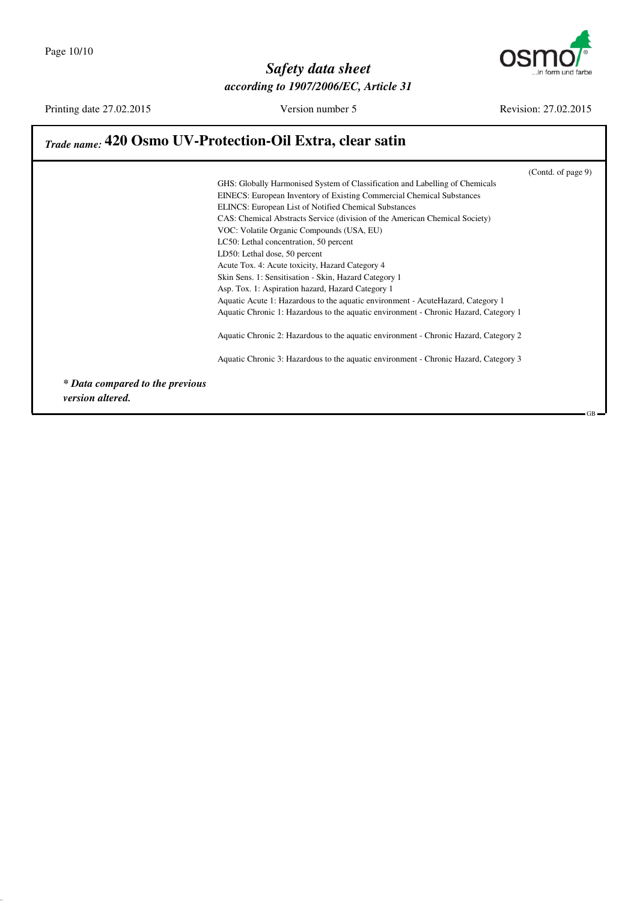

Printing date 27.02.2015 Version number 5 Revision: 27.02.2015

GB

### *Trade name:* **420 Osmo UV-Protection-Oil Extra, clear satin**

(Contd. of page 9) GHS: Globally Harmonised System of Classification and Labelling of Chemicals EINECS: European Inventory of Existing Commercial Chemical Substances ELINCS: European List of Notified Chemical Substances CAS: Chemical Abstracts Service (division of the American Chemical Society) VOC: Volatile Organic Compounds (USA, EU) LC50: Lethal concentration, 50 percent LD50: Lethal dose, 50 percent Acute Tox. 4: Acute toxicity, Hazard Category 4 Skin Sens. 1: Sensitisation - Skin, Hazard Category 1 Asp. Tox. 1: Aspiration hazard, Hazard Category 1 Aquatic Acute 1: Hazardous to the aquatic environment - AcuteHazard, Category 1 Aquatic Chronic 1: Hazardous to the aquatic environment - Chronic Hazard, Category 1 Aquatic Chronic 2: Hazardous to the aquatic environment - Chronic Hazard, Category 2 Aquatic Chronic 3: Hazardous to the aquatic environment - Chronic Hazard, Category 3 *\* Data compared to the previous version altered.*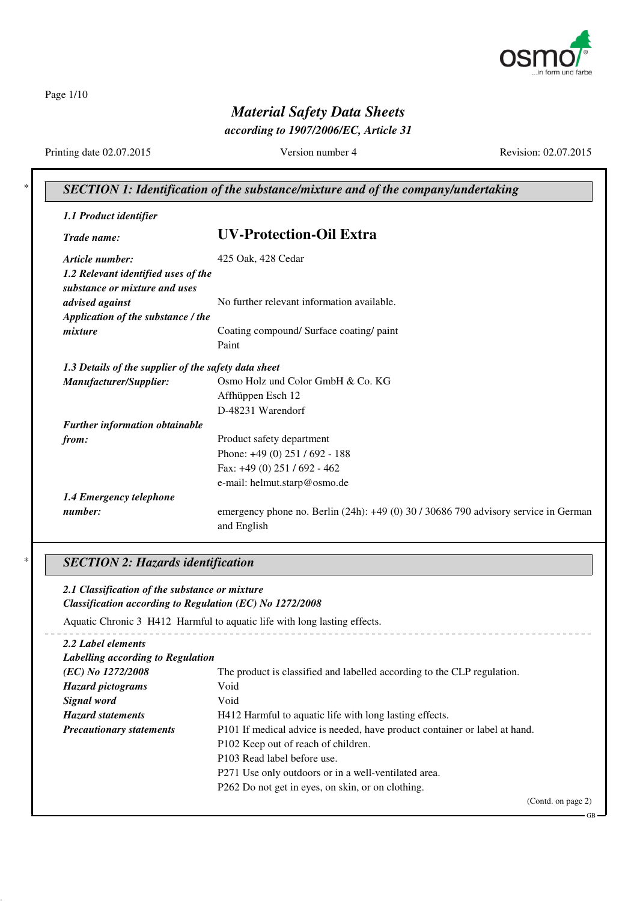

Page 1/10

## *Material Safety Data Sheets*

*according to 1907/2006/EC, Article 31*

Printing date 02.07.2015 Version number 4 Revision: 02.07.2015

GB

#### \* *SECTION 1: Identification of the substance/mixture and of the company/undertaking*

| 1.1 Product identifier                               |                                                                                                    |
|------------------------------------------------------|----------------------------------------------------------------------------------------------------|
| Trade name:                                          | <b>UV-Protection-Oil Extra</b>                                                                     |
| Article number:                                      | 425 Oak, 428 Cedar                                                                                 |
| 1.2 Relevant identified uses of the                  |                                                                                                    |
| substance or mixture and uses                        |                                                                                                    |
| advised against                                      | No further relevant information available.                                                         |
| Application of the substance / the                   |                                                                                                    |
| mixture                                              | Coating compound/ Surface coating/ paint                                                           |
|                                                      | Paint                                                                                              |
| 1.3 Details of the supplier of the safety data sheet |                                                                                                    |
| Manufacturer/Supplier:                               | Osmo Holz und Color GmbH & Co. KG                                                                  |
|                                                      | Affhüppen Esch 12                                                                                  |
|                                                      | D-48231 Warendorf                                                                                  |
| Further information obtainable                       |                                                                                                    |
| from:                                                | Product safety department                                                                          |
|                                                      | Phone: $+49(0)$ 251 / 692 - 188                                                                    |
|                                                      | Fax: +49 (0) 251 / 692 - 462                                                                       |
|                                                      | e-mail: helmut.starp@osmo.de                                                                       |
| 1.4 Emergency telephone                              |                                                                                                    |
| number:                                              | emergency phone no. Berlin (24h): +49 (0) 30 / 30686 790 advisory service in German<br>and English |

#### \* *SECTION 2: Hazards identification*

#### *2.1 Classification of the substance or mixture Classification according to Regulation (EC) No 1272/2008* Aquatic Chronic 3 H412 Harmful to aquatic life with long lasting effects. *2.2 Label elements Labelling according to Regulation (EC) No 1272/2008* The product is classified and labelled according to the CLP regulation. *Hazard pictograms* Void **Signal word** Void *Hazard statements* H412 Harmful to aquatic life with long lasting effects. *Precautionary statements* P101 If medical advice is needed, have product container or label at hand. P102 Keep out of reach of children. P103 Read label before use. P271 Use only outdoors or in a well-ventilated area. P262 Do not get in eyes, on skin, or on clothing. (Contd. on page 2)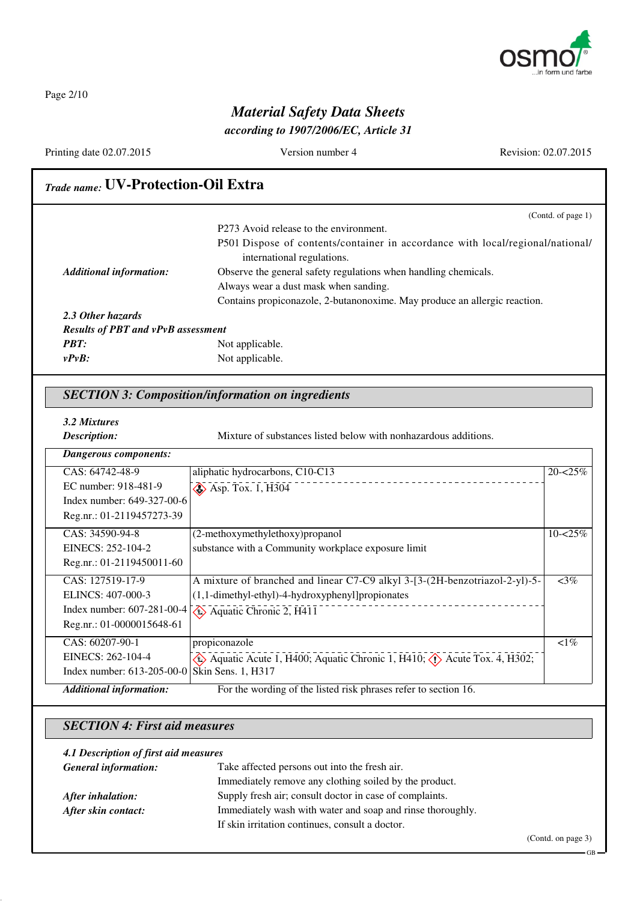

Page 2/10

## *Material Safety Data Sheets*

*according to 1907/2006/EC, Article 31*

Printing date 02.07.2015 Version number 4 Revision: 02.07.2015

| <b>Trade name: UV-Protection-Oil Extra</b>                                                                                              |                                                                                                              |                          |
|-----------------------------------------------------------------------------------------------------------------------------------------|--------------------------------------------------------------------------------------------------------------|--------------------------|
|                                                                                                                                         |                                                                                                              | (Contd. of page 1)       |
|                                                                                                                                         | P273 Avoid release to the environment.                                                                       |                          |
|                                                                                                                                         | P501 Dispose of contents/container in accordance with local/regional/national/<br>international regulations. |                          |
| <b>Additional information:</b>                                                                                                          | Observe the general safety regulations when handling chemicals.                                              |                          |
|                                                                                                                                         | Always wear a dust mask when sanding.                                                                        |                          |
|                                                                                                                                         | Contains propiconazole, 2-butanonoxime. May produce an allergic reaction.                                    |                          |
| 2.3 Other hazards                                                                                                                       |                                                                                                              |                          |
| <b>Results of PBT and vPvB assessment</b>                                                                                               |                                                                                                              |                          |
| <b>PBT:</b>                                                                                                                             | Not applicable.                                                                                              |                          |
| $v P v B$ :                                                                                                                             | Not applicable.                                                                                              |                          |
|                                                                                                                                         |                                                                                                              |                          |
|                                                                                                                                         | Mixture of substances listed below with nonhazardous additions.                                              |                          |
|                                                                                                                                         |                                                                                                              |                          |
|                                                                                                                                         | aliphatic hydrocarbons, C10-C13                                                                              |                          |
|                                                                                                                                         | $\leftrightarrow$ Asp. Tox. 1, H304                                                                          |                          |
| 3.2 Mixtures<br>Description:<br><b>Dangerous components:</b><br>CAS: 64742-48-9<br>EC number: 918-481-9<br>Index number: 649-327-00-6   |                                                                                                              |                          |
|                                                                                                                                         |                                                                                                              |                          |
|                                                                                                                                         | (2-methoxymethylethoxy)propanol                                                                              |                          |
|                                                                                                                                         | substance with a Community workplace exposure limit                                                          |                          |
|                                                                                                                                         |                                                                                                              |                          |
|                                                                                                                                         | A mixture of branched and linear C7-C9 alkyl 3-[3-(2H-benzotriazol-2-yl)-5-                                  | $\sqrt{3\%}$             |
| Reg.nr.: 01-2119457273-39<br>CAS: 34590-94-8<br>EINECS: 252-104-2<br>Reg.nr.: 01-2119450011-60<br>CAS: 127519-17-9<br>ELINCS: 407-000-3 | (1,1-dimethyl-ethyl)-4-hydroxyphenyl]propionates                                                             |                          |
| Index number: 607-281-00-4                                                                                                              | $\leftrightarrow$ Aquatic Chronic 2, H411                                                                    | $20 - 25%$<br>$10 - 25%$ |
|                                                                                                                                         |                                                                                                              |                          |
| Reg.nr.: 01-0000015648-61<br>CAS: 60207-90-1                                                                                            | propiconazole                                                                                                | $\overline{<}1\%$        |
| EINECS: 262-104-4                                                                                                                       | Aquatic Acute 1, H400; Aquatic Chronic 1, H410; $\langle \rangle$ Acute Tox. 4, H302;                        |                          |

### *SECTION 4: First aid measures*

| 4.1 Description of first aid measures |                                                            |  |
|---------------------------------------|------------------------------------------------------------|--|
| <b>General information:</b>           | Take affected persons out into the fresh air.              |  |
|                                       | Immediately remove any clothing soiled by the product.     |  |
| After inhalation:                     | Supply fresh air; consult doctor in case of complaints.    |  |
| After skin contact:                   | Immediately wash with water and soap and rinse thoroughly. |  |
|                                       | If skin irritation continues, consult a doctor.            |  |

(Contd. on page 3)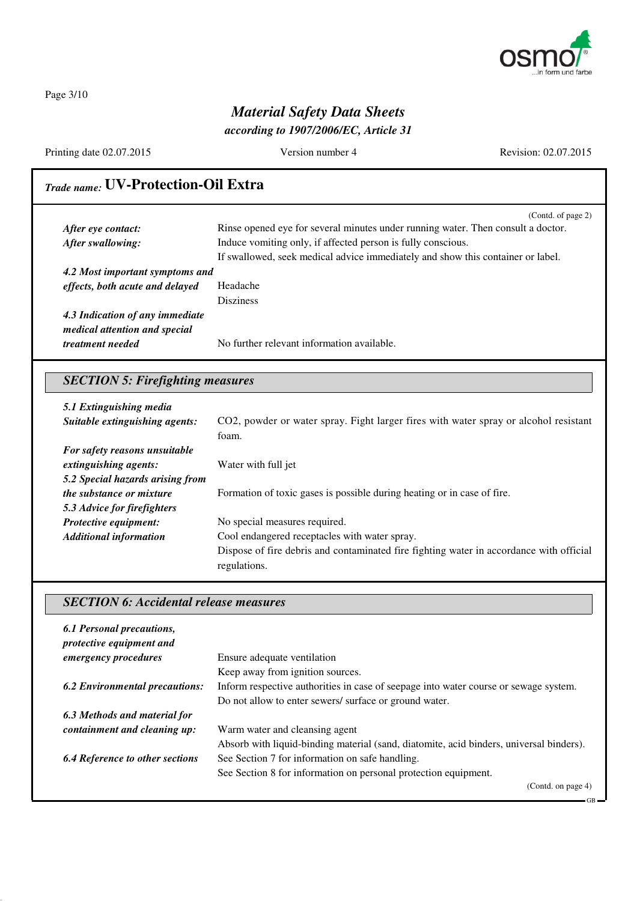

Page 3/10

## *Material Safety Data Sheets*

*according to 1907/2006/EC, Article 31*

Printing date 02.07.2015 Version number 4 Revision: 02.07.2015

## *Trade name:* **UV-Protection-Oil Extra**

|                                 | (Contd. of page 2)                                                               |
|---------------------------------|----------------------------------------------------------------------------------|
| After eye contact:              | Rinse opened eye for several minutes under running water. Then consult a doctor. |
| After swallowing:               | Induce vomiting only, if affected person is fully conscious.                     |
|                                 | If swallowed, seek medical advice immediately and show this container or label.  |
| 4.2 Most important symptoms and |                                                                                  |
| effects, both acute and delayed | Headache                                                                         |
|                                 | <b>Disziness</b>                                                                 |
| 4.3 Indication of any immediate |                                                                                  |
| medical attention and special   |                                                                                  |
| <i>treatment needed</i>         | No further relevant information available.                                       |

## *SECTION 5: Firefighting measures*

| 5.1 Extinguishing media<br>Suitable extinguishing agents: | CO2, powder or water spray. Fight larger fires with water spray or alcohol resistant<br>foam. |
|-----------------------------------------------------------|-----------------------------------------------------------------------------------------------|
| For safety reasons unsuitable                             |                                                                                               |
| extinguishing agents:                                     | Water with full jet                                                                           |
| 5.2 Special hazards arising from                          |                                                                                               |
| <i>the substance or mixture</i>                           | Formation of toxic gases is possible during heating or in case of fire.                       |
| 5.3 Advice for firefighters                               |                                                                                               |
| Protective equipment:                                     | No special measures required.                                                                 |
| <b>Additional information</b>                             | Cool endangered receptacles with water spray.                                                 |
|                                                           | Dispose of fire debris and contaminated fire fighting water in accordance with official       |
|                                                           | regulations.                                                                                  |

#### *SECTION 6: Accidental release measures*

| 6.1 Personal precautions,<br>protective equipment and |                                                                                         |
|-------------------------------------------------------|-----------------------------------------------------------------------------------------|
| emergency procedures                                  | Ensure adequate ventilation                                                             |
|                                                       | Keep away from ignition sources.                                                        |
| <b>6.2 Environmental precautions:</b>                 | Inform respective authorities in case of seepage into water course or sewage system.    |
|                                                       | Do not allow to enter sewers/ surface or ground water.                                  |
| 6.3 Methods and material for                          |                                                                                         |
| containment and cleaning up:                          | Warm water and cleansing agent                                                          |
|                                                       | Absorb with liquid-binding material (sand, diatomite, acid binders, universal binders). |
| <b>6.4 Reference to other sections</b>                | See Section 7 for information on safe handling.                                         |
|                                                       | See Section 8 for information on personal protection equipment.                         |
|                                                       | (Contd. on page 4)                                                                      |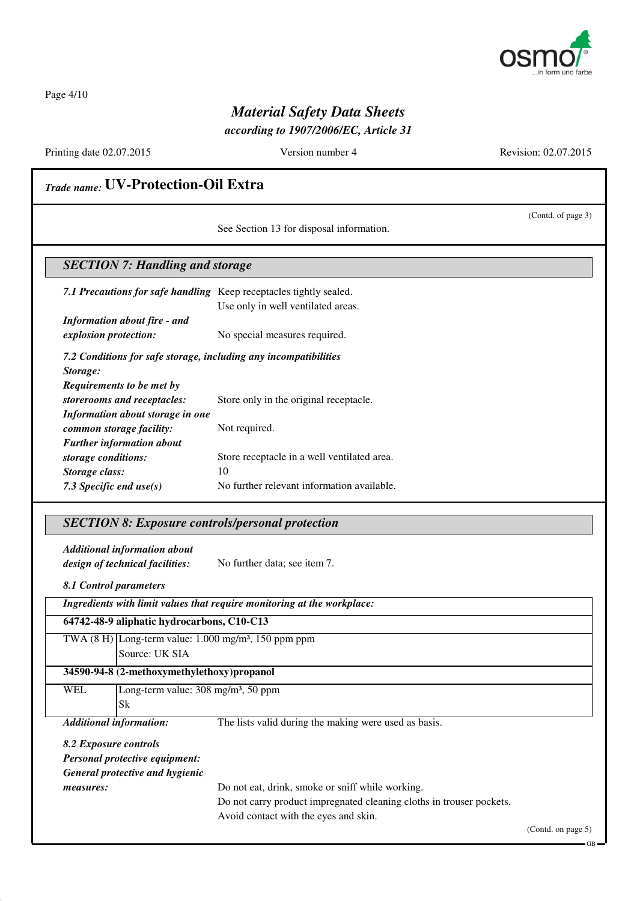

Page 4/10

## *Material Safety Data Sheets*

*according to 1907/2006/EC, Article 31*

Printing date 02.07.2015 Version number 4 Revision: 02.07.2015

(Contd. of page 3)

## *Trade name:* **UV-Protection-Oil Extra**

See Section 13 for disposal information.

#### *SECTION 7: Handling and storage*

*7.1 Precautions for safe handling* Keep receptacles tightly sealed. Use only in well ventilated areas. *Information about fire - and*

*explosion protection:* No special measures required.

*7.2 Conditions for safe storage, including any incompatibilities*

*Storage: Requirements to be met by storerooms and receptacles:* Store only in the original receptacle. *Information about storage in one common storage facility:* Not required. *Further information about storage conditions:* Store receptacle in a well ventilated area. **Storage class:** 10 7.3 Specific end use(s) No further relevant information available.

#### *SECTION 8: Exposure controls/personal protection*

*Additional information about design of technical facilities:* No further data; see item 7.

*8.1 Control parameters*

| Ingredients with limit values that require monitoring at the workplace: |                                                          |                                                                            |  |
|-------------------------------------------------------------------------|----------------------------------------------------------|----------------------------------------------------------------------------|--|
|                                                                         | 64742-48-9 aliphatic hydrocarbons, C10-C13               |                                                                            |  |
|                                                                         |                                                          | TWA $(8 \text{ H})$ Long-term value: 1.000 mg/m <sup>3</sup> , 150 ppm ppm |  |
|                                                                         | Source: UK SIA                                           |                                                                            |  |
|                                                                         | 34590-94-8 (2-methoxymethylethoxy) propanol              |                                                                            |  |
| <b>WEL</b>                                                              | Long-term value: $308 \text{ mg/m}^3$ , $50 \text{ ppm}$ |                                                                            |  |
|                                                                         | Sk                                                       |                                                                            |  |
| <b>Additional information:</b>                                          |                                                          | The lists valid during the making were used as basis.                      |  |
| 8.2 Exposure controls                                                   |                                                          |                                                                            |  |
| <b>Personal protective equipment:</b>                                   |                                                          |                                                                            |  |
|                                                                         | General protective and hygienic                          |                                                                            |  |
| measures:                                                               |                                                          | Do not eat, drink, smoke or sniff while working.                           |  |
|                                                                         |                                                          | Do not cours anoduct impropriated cleaning elettre in traveou no obsta     |  |

Do not carry product impregnated cleaning cloths in trouser pockets.

Avoid contact with the eyes and skin.

(Contd. on page 5)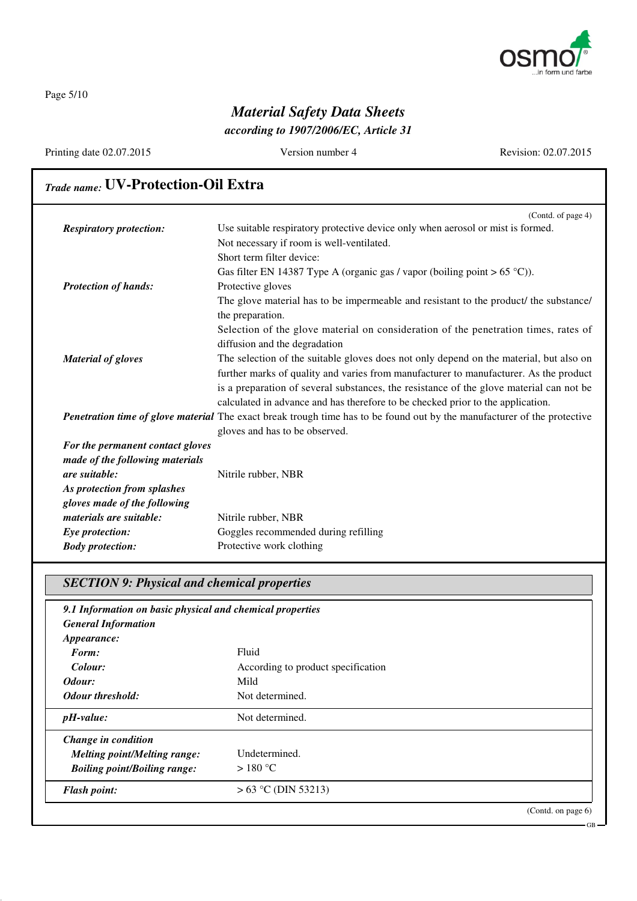

GB

Page 5/10

### *Material Safety Data Sheets according to 1907/2006/EC, Article 31*

### Printing date 02.07.2015 Version number 4 Revision: 02.07.2015 *Trade name:* **UV-Protection-Oil Extra** (Contd. of page 4) *Respiratory protection:* Use suitable respiratory protective device only when aerosol or mist is formed. Not necessary if room is well-ventilated. Short term filter device: Gas filter EN 14387 Type A (organic gas / vapor (boiling point  $> 65 \degree C$ )). *Protection of hands:* Protective gloves The glove material has to be impermeable and resistant to the product/ the substance/ the preparation. Selection of the glove material on consideration of the penetration times, rates of diffusion and the degradation *Material of gloves* The selection of the suitable gloves does not only depend on the material, but also on further marks of quality and varies from manufacturer to manufacturer. As the product is a preparation of several substances, the resistance of the glove material can not be calculated in advance and has therefore to be checked prior to the application. *Penetration time of glove material* The exact break trough time has to be found out by the manufacturer of the protective gloves and has to be observed. *For the permanent contact gloves made of the following materials are suitable:* Nitrile rubber, NBR *As protection from splashes gloves made of the following materials are suitable:* Nitrile rubber, NBR **Eye protection:** Goggles recommended during refilling *Body protection:* Protective work clothing

#### *SECTION 9: Physical and chemical properties*

| 9.1 Information on basic physical and chemical properties |                                    |                    |
|-----------------------------------------------------------|------------------------------------|--------------------|
| <b>General Information</b>                                |                                    |                    |
| <i>Appearance:</i>                                        |                                    |                    |
| Form:                                                     | Fluid                              |                    |
| Colour:                                                   | According to product specification |                    |
| Odour:                                                    | Mild                               |                    |
| Odour threshold:                                          | Not determined.                    |                    |
| $pH$ -value:                                              | Not determined.                    |                    |
| Change in condition                                       |                                    |                    |
| <b>Melting point/Melting range:</b>                       | Undetermined.                      |                    |
| <b>Boiling point/Boiling range:</b>                       | $>180^{\circ}$ C                   |                    |
| <b>Flash point:</b>                                       | $> 63$ °C (DIN 53213)              |                    |
|                                                           |                                    | (Contd. on page 6) |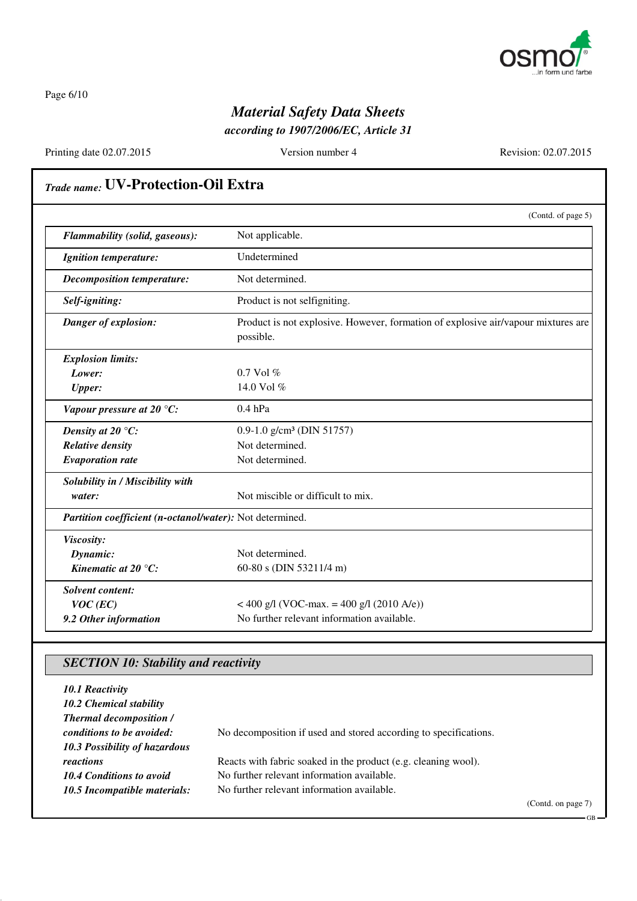

Page 6/10

## *Material Safety Data Sheets*

*according to 1907/2006/EC, Article 31*

Printing date 02.07.2015 Version number 4 Revision: 02.07.2015

GB

## *Trade name:* **UV-Protection-Oil Extra**

|                                                          | (Contd. of page 5)                                                                             |
|----------------------------------------------------------|------------------------------------------------------------------------------------------------|
| Flammability (solid, gaseous):                           | Not applicable.                                                                                |
| <b>Ignition temperature:</b>                             | Undetermined                                                                                   |
| <b>Decomposition temperature:</b>                        | Not determined.                                                                                |
| Self-igniting:                                           | Product is not selfigniting.                                                                   |
| Danger of explosion:                                     | Product is not explosive. However, formation of explosive air/vapour mixtures are<br>possible. |
| <b>Explosion limits:</b>                                 |                                                                                                |
| Lower:                                                   | $0.7$ Vol $%$                                                                                  |
| <b>Upper:</b>                                            | 14.0 Vol %                                                                                     |
| Vapour pressure at 20 $°C$ :                             | $0.4$ hPa                                                                                      |
| Density at 20 $\mathrm{^{\circ}C:}$                      | $0.9-1.0$ g/cm <sup>3</sup> (DIN 51757)                                                        |
| <b>Relative density</b>                                  | Not determined.                                                                                |
| <b>Evaporation rate</b>                                  | Not determined.                                                                                |
| Solubility in / Miscibility with                         |                                                                                                |
| water:                                                   | Not miscible or difficult to mix.                                                              |
| Partition coefficient (n-octanol/water): Not determined. |                                                                                                |
| Viscosity:                                               |                                                                                                |
| Dynamic:                                                 | Not determined.                                                                                |
| Kinematic at 20 $^{\circ}C$ :                            | 60-80 s (DIN 53211/4 m)                                                                        |
| <b>Solvent content:</b>                                  |                                                                                                |
| $VOC$ (EC)                                               | < 400 g/l (VOC-max. = 400 g/l (2010 A/e))                                                      |
| 9.2 Other information                                    | No further relevant information available.                                                     |

### *SECTION 10: Stability and reactivity*

| 10.1 Reactivity<br>10.2 Chemical stability<br><b>Thermal decomposition /</b> |                                                                  |                    |
|------------------------------------------------------------------------------|------------------------------------------------------------------|--------------------|
| conditions to be avoided:                                                    | No decomposition if used and stored according to specifications. |                    |
| 10.3 Possibility of hazardous                                                |                                                                  |                    |
| reactions                                                                    | Reacts with fabric soaked in the product (e.g. cleaning wool).   |                    |
| 10.4 Conditions to avoid                                                     | No further relevant information available.                       |                    |
| 10.5 Incompatible materials:                                                 | No further relevant information available.                       |                    |
|                                                                              |                                                                  | (Contd. on page 7) |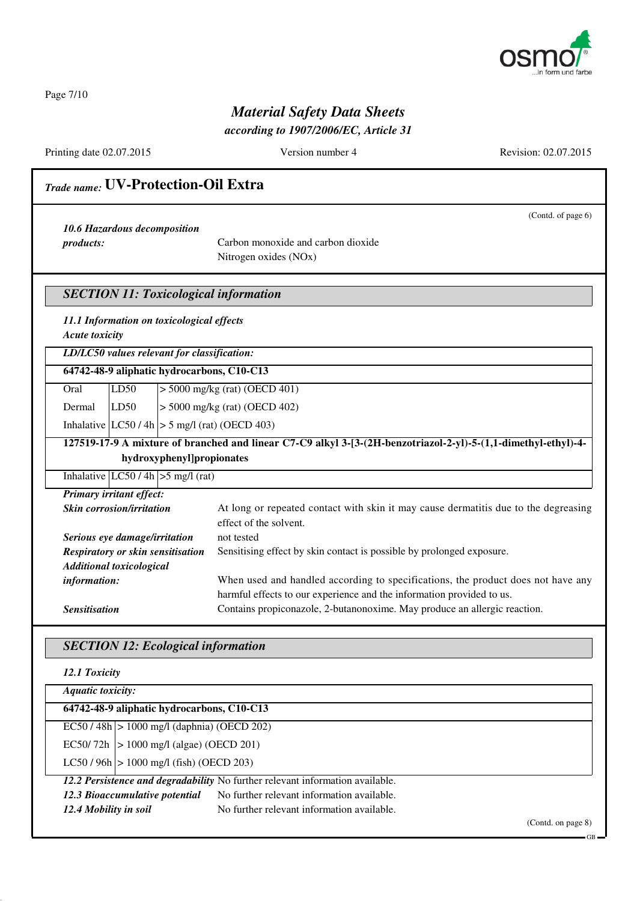

Page 7/10

## *Material Safety Data Sheets*

*according to 1907/2006/EC, Article 31*

Printing date 02.07.2015 Version number 4 Revision: 02.07.2015

## *Trade name:* **UV-Protection-Oil Extra** (Contd. of page 6) *10.6 Hazardous decomposition products:* Carbon monoxide and carbon dioxide Nitrogen oxides (NOx) *SECTION 11: Toxicological information 11.1 Information on toxicological effects Acute toxicity LD/LC50 values relevant for classification:* **64742-48-9 aliphatic hydrocarbons, C10-C13** Oral LD50 > 5000 mg/kg (rat) (OECD 401) Dermal LD50 > 5000 mg/kg (rat) (OECD 402) Inhalative  $|LC50/4h| > 5$  mg/l (rat) (OECD 403) **127519-17-9 A mixture of branched and linear C7-C9 alkyl 3-[3-(2H-benzotriazol-2-yl)-5-(1,1-dimethyl-ethyl)-4 hydroxyphenyl]propionates** Inhalative  $|LC50/4h| > 5$  mg/l (rat) *Primary irritant effect:* **Skin corrosion/irritation** At long or repeated contact with skin it may cause dermatitis due to the degreasing effect of the solvent. *Serious eye damage/irritation* not tested *Respiratory or skin sensitisation* Sensitising effect by skin contact is possible by prolonged exposure. *Additional toxicological information:* When used and handled according to specifications, the product does not have any harmful effects to our experience and the information provided to us. **Sensitisation** Contains propiconazole, 2-butanonoxime. May produce an allergic reaction.

*SECTION 12: Ecological information*

| 12.1 Toxicity                                                                 |                                            |  |
|-------------------------------------------------------------------------------|--------------------------------------------|--|
| <b>Aquatic toxicity:</b>                                                      |                                            |  |
| 64742-48-9 aliphatic hydrocarbons, C10-C13                                    |                                            |  |
| $EC50 / 48h$   > 1000 mg/l (daphnia) (OECD 202)                               |                                            |  |
| EC50/72h $ > 1000$ mg/l (algae) (OECD 201)                                    |                                            |  |
| $LC50 / 96h$   > 1000 mg/l (fish) (OECD 203)                                  |                                            |  |
| 12.2 Persistence and degradability No further relevant information available. |                                            |  |
| No further relevant information available.<br>12.3 Bioaccumulative potential  |                                            |  |
| 12.4 Mobility in soil                                                         | No further relevant information available. |  |

(Contd. on page 8)

GB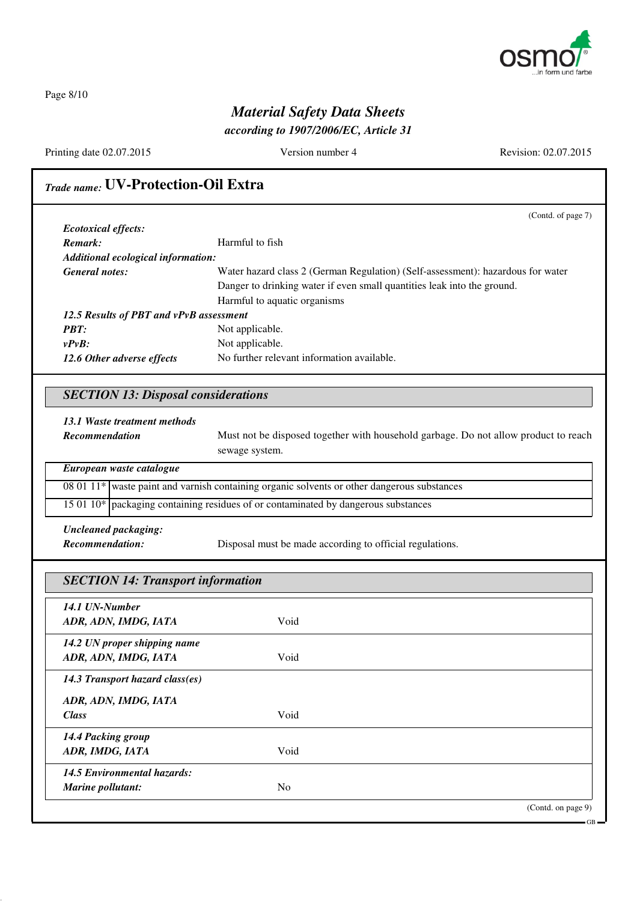

Page 8/10

## *Material Safety Data Sheets*

*according to 1907/2006/EC, Article 31*

Printing date 02.07.2015 Version number 4 Revision: 02.07.2015

GB

## *Trade name:* **UV-Protection-Oil Extra**

|                                         | (Contd. of page 7)                                                              |
|-----------------------------------------|---------------------------------------------------------------------------------|
| <i>Ecotoxical effects:</i>              |                                                                                 |
| Remark:                                 | Harmful to fish                                                                 |
| Additional ecological information:      |                                                                                 |
| General notes:                          | Water hazard class 2 (German Regulation) (Self-assessment): hazardous for water |
|                                         | Danger to drinking water if even small quantities leak into the ground.         |
|                                         | Harmful to aquatic organisms                                                    |
| 12.5 Results of PBT and vPvB assessment |                                                                                 |
| <b>PRT:</b>                             | Not applicable.                                                                 |
| $v P v B$ :                             | Not applicable.                                                                 |
| 12.6 Other adverse effects              | No further relevant information available.                                      |
|                                         |                                                                                 |

### *SECTION 13: Disposal considerations*

#### *13.1 Waste treatment methods*

| Recommendation | Must not be disposed together with household garbage. Do not allow product to reach |  |  |  |
|----------------|-------------------------------------------------------------------------------------|--|--|--|
|                | sewage system.                                                                      |  |  |  |

| European waste catalogue |                                                                                                |  |
|--------------------------|------------------------------------------------------------------------------------------------|--|
|                          | 08 01 11 $*$ waste paint and varnish containing organic solvents or other dangerous substances |  |
|                          | 15 01 10* packaging containing residues of or contaminated by dangerous substances             |  |

*Uncleaned packaging:*

*Recommendation:* Disposal must be made according to official regulations.

| <b>SECTION 14: Transport information</b> |                |                    |
|------------------------------------------|----------------|--------------------|
| 14.1 UN-Number                           |                |                    |
| ADR, ADN, IMDG, IATA                     | Void           |                    |
| 14.2 UN proper shipping name             |                |                    |
| ADR, ADN, IMDG, IATA                     | Void           |                    |
| 14.3 Transport hazard class(es)          |                |                    |
| ADR, ADN, IMDG, IATA                     |                |                    |
| <b>Class</b>                             | Void           |                    |
| 14.4 Packing group                       |                |                    |
| ADR, IMDG, IATA                          | Void           |                    |
| <b>14.5 Environmental hazards:</b>       |                |                    |
| <b>Marine pollutant:</b>                 | N <sub>0</sub> |                    |
|                                          |                | (Contd. on page 9) |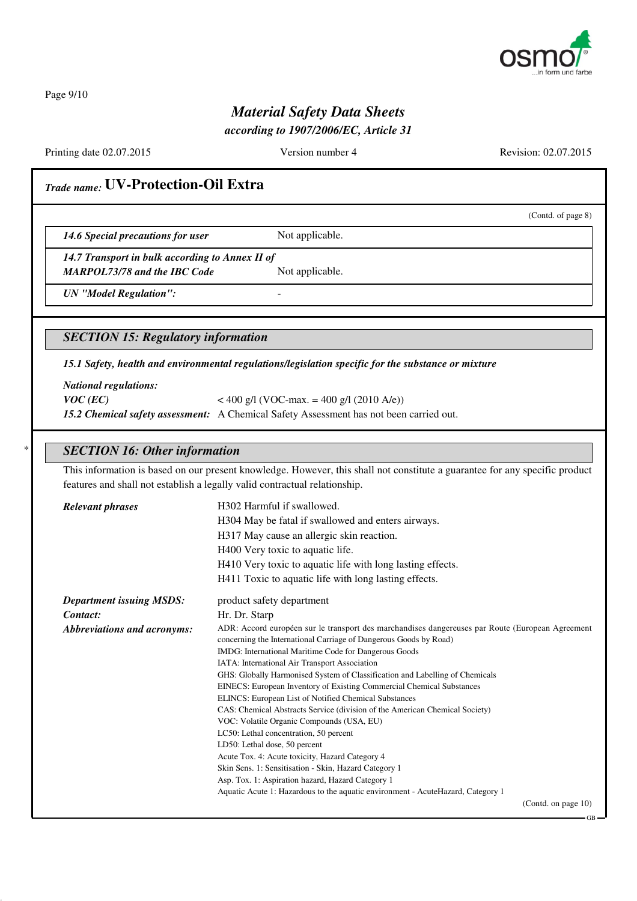

Page 9/10

## *Material Safety Data Sheets*

*according to 1907/2006/EC, Article 31*

Printing date 02.07.2015 Version number 4 Revision: 02.07.2015

(Contd. of page 8)

## *Trade name:* **UV-Protection-Oil Extra**

**14.6 Special precautions for user** Not applicable.

*14.7 Transport in bulk according to Annex II of*

*MARPOL73/78 and the IBC Code* Not applicable.

*UN "Model Regulation":* -

*SECTION 15: Regulatory information*

*15.1 Safety, health and environmental regulations/legislation specific for the substance or mixture*

*National regulations:*

*VOC* (*EC*) < 400 g/l (VOC-max. = 400 g/l (2010 A/e)) *15.2 Chemical safety assessment:* A Chemical Safety Assessment has not been carried out.

#### \* *SECTION 16: Other information*

This information is based on our present knowledge. However, this shall not constitute a guarantee for any specific product features and shall not establish a legally valid contractual relationship.

| <b>Relevant phrases</b>            | H302 Harmful if swallowed.                                                                       |  |
|------------------------------------|--------------------------------------------------------------------------------------------------|--|
|                                    | H304 May be fatal if swallowed and enters airways.                                               |  |
|                                    | H317 May cause an allergic skin reaction.                                                        |  |
|                                    | H400 Very toxic to aquatic life.                                                                 |  |
|                                    | H410 Very toxic to aquatic life with long lasting effects.                                       |  |
|                                    |                                                                                                  |  |
|                                    | H411 Toxic to aquatic life with long lasting effects.                                            |  |
| <b>Department issuing MSDS:</b>    | product safety department                                                                        |  |
| Contact:                           | Hr. Dr. Starp                                                                                    |  |
| <b>Abbreviations and acronyms:</b> | ADR: Accord européen sur le transport des marchandises dangereuses par Route (European Agreement |  |
|                                    | concerning the International Carriage of Dangerous Goods by Road)                                |  |
|                                    | IMDG: International Maritime Code for Dangerous Goods                                            |  |
|                                    | IATA: International Air Transport Association                                                    |  |
|                                    | GHS: Globally Harmonised System of Classification and Labelling of Chemicals                     |  |
|                                    | EINECS: European Inventory of Existing Commercial Chemical Substances                            |  |
|                                    | ELINCS: European List of Notified Chemical Substances                                            |  |
|                                    | CAS: Chemical Abstracts Service (division of the American Chemical Society)                      |  |
|                                    | VOC: Volatile Organic Compounds (USA, EU)                                                        |  |
|                                    | LC50: Lethal concentration, 50 percent                                                           |  |
|                                    | LD50: Lethal dose, 50 percent                                                                    |  |
|                                    | Acute Tox. 4: Acute toxicity, Hazard Category 4                                                  |  |
|                                    | Skin Sens. 1: Sensitisation - Skin, Hazard Category 1                                            |  |
|                                    | Asp. Tox. 1: Aspiration hazard, Hazard Category 1                                                |  |
|                                    | Aquatic Acute 1: Hazardous to the aquatic environment - Acute Hazard, Category 1                 |  |
|                                    | (Contd. on page $10$ )                                                                           |  |
|                                    |                                                                                                  |  |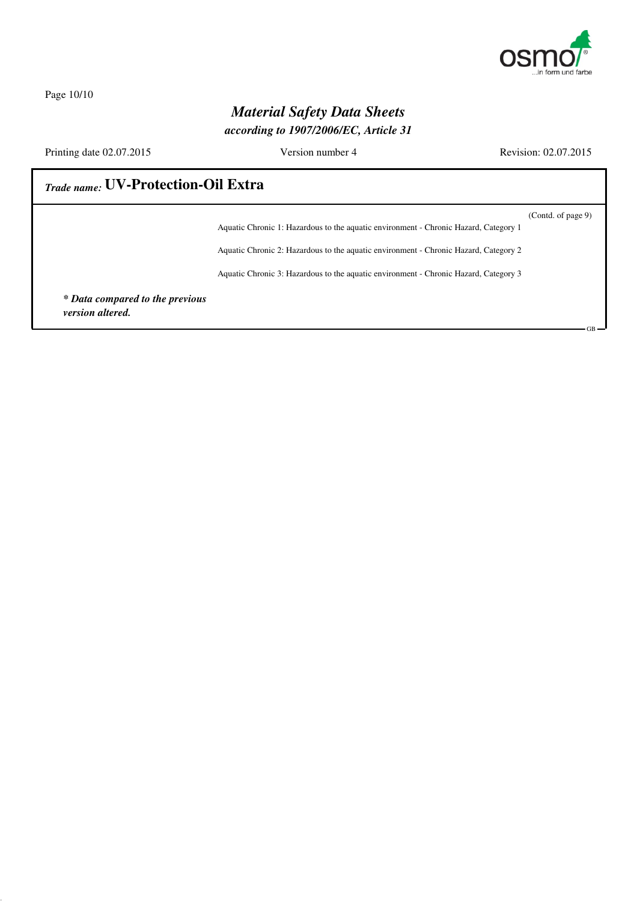

Page 10/10

### *Material Safety Data Sheets according to 1907/2006/EC, Article 31*

Printing date 02.07.2015 Version number 4 Revision: 02.07.2015

GB

## *Trade name:* **UV-Protection-Oil Extra**

(Contd. of page 9) Aquatic Chronic 1: Hazardous to the aquatic environment - Chronic Hazard, Category 1

Aquatic Chronic 2: Hazardous to the aquatic environment - Chronic Hazard, Category 2

Aquatic Chronic 3: Hazardous to the aquatic environment - Chronic Hazard, Category 3

*\* Data compared to the previous version altered.*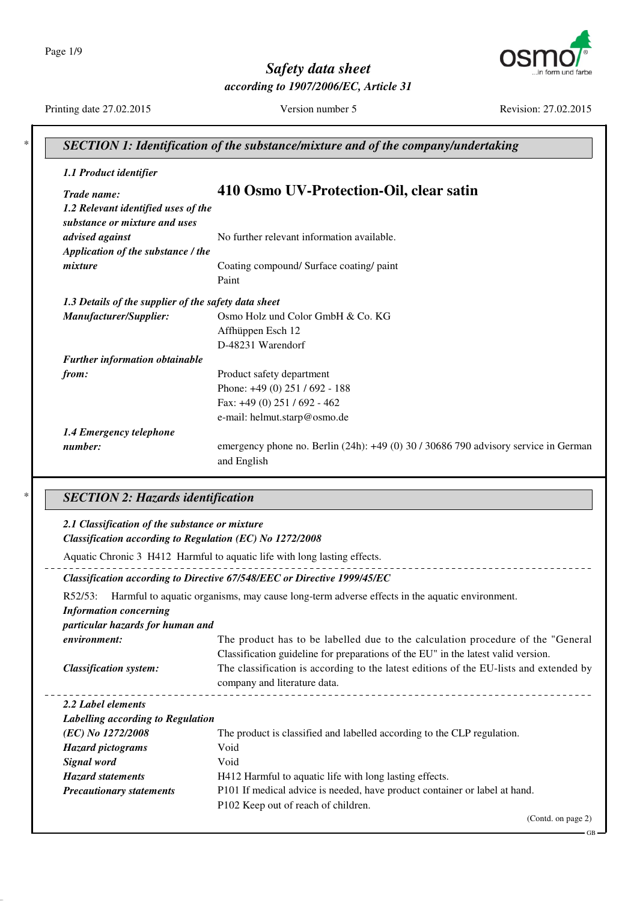Page 1/9



*Safety data sheet according to 1907/2006/EC, Article 31*

Printing date 27.02.2015 Version number 5 Revision: 27.02.2015

| 1.1 Product identifier                                                              |                                                                                                                                                                       |
|-------------------------------------------------------------------------------------|-----------------------------------------------------------------------------------------------------------------------------------------------------------------------|
| Trade name:<br>1.2 Relevant identified uses of the<br>substance or mixture and uses | 410 Osmo UV-Protection-Oil, clear satin                                                                                                                               |
| advised against                                                                     | No further relevant information available.                                                                                                                            |
| Application of the substance / the                                                  |                                                                                                                                                                       |
| mixture                                                                             | Coating compound/ Surface coating/ paint                                                                                                                              |
|                                                                                     | Paint                                                                                                                                                                 |
| 1.3 Details of the supplier of the safety data sheet                                |                                                                                                                                                                       |
| Manufacturer/Supplier:                                                              | Osmo Holz und Color GmbH & Co. KG                                                                                                                                     |
|                                                                                     | Affhüppen Esch 12                                                                                                                                                     |
|                                                                                     | D-48231 Warendorf                                                                                                                                                     |
| Further information obtainable                                                      |                                                                                                                                                                       |
| from:                                                                               | Product safety department                                                                                                                                             |
|                                                                                     | Phone: +49 (0) 251 / 692 - 188                                                                                                                                        |
|                                                                                     | Fax: +49 (0) 251 / 692 - 462                                                                                                                                          |
|                                                                                     | e-mail: helmut.starp@osmo.de                                                                                                                                          |
| 1.4 Emergency telephone                                                             |                                                                                                                                                                       |
| number:                                                                             | emergency phone no. Berlin (24h): +49 (0) 30 / 30686 790 advisory service in German                                                                                   |
|                                                                                     | and English                                                                                                                                                           |
| <b>SECTION 2: Hazards identification</b>                                            |                                                                                                                                                                       |
| 2.1 Classification of the substance or mixture                                      |                                                                                                                                                                       |
| Classification according to Regulation (EC) No 1272/2008                            |                                                                                                                                                                       |
|                                                                                     | Aquatic Chronic 3 H412 Harmful to aquatic life with long lasting effects.                                                                                             |
|                                                                                     | Classification according to Directive 67/548/EEC or Directive 1999/45/EC                                                                                              |
| R52/53:                                                                             | Harmful to aquatic organisms, may cause long-term adverse effects in the aquatic environment.                                                                         |
| <b>Information concerning</b>                                                       |                                                                                                                                                                       |
| particular hazards for human and                                                    |                                                                                                                                                                       |
| environment:                                                                        |                                                                                                                                                                       |
|                                                                                     | The product has to be labelled due to the calculation procedure of the "General"<br>Classification guideline for preparations of the EU" in the latest valid version. |
| <b>Classification system:</b>                                                       | The classification is according to the latest editions of the EU-lists and extended by<br>company and literature data.                                                |
| 2.2 Label elements                                                                  |                                                                                                                                                                       |
| Labelling according to Regulation                                                   |                                                                                                                                                                       |
| (EC) No 1272/2008                                                                   | The product is classified and labelled according to the CLP regulation.                                                                                               |
| <b>Hazard</b> pictograms                                                            | Void                                                                                                                                                                  |
| Signal word                                                                         | Void                                                                                                                                                                  |
| <b>Hazard statements</b>                                                            | H412 Harmful to aquatic life with long lasting effects.                                                                                                               |
| <b>Precautionary statements</b>                                                     | P101 If medical advice is needed, have product container or label at hand.                                                                                            |
|                                                                                     | P102 Keep out of reach of children.                                                                                                                                   |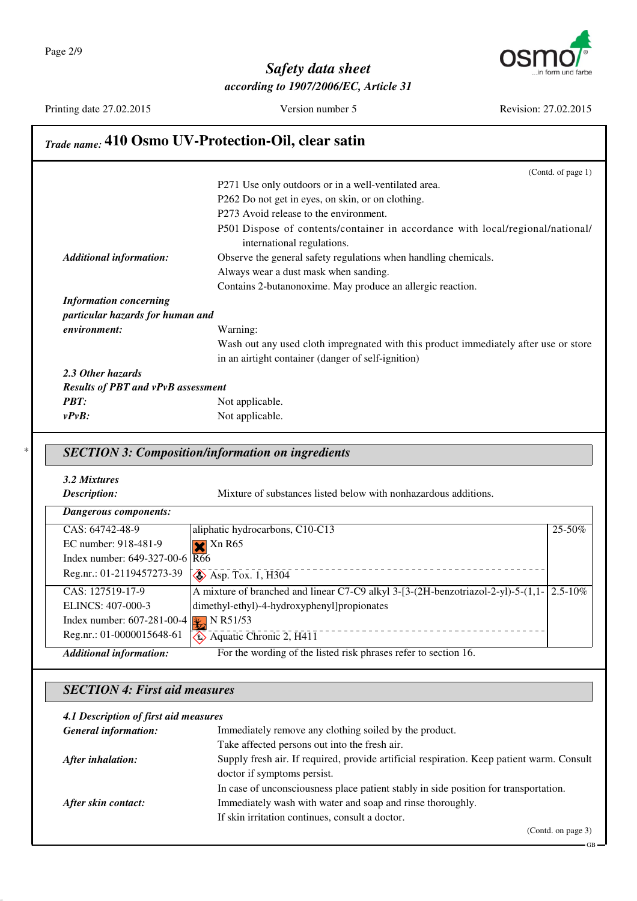

Printing date 27.02.2015 Version number 5 Revision: 27.02.2015

#### *Trade name:* **410 Osmo UV-Protection-Oil, clear satin** (Contd. of page 1) P271 Use only outdoors or in a well-ventilated area. P262 Do not get in eyes, on skin, or on clothing. P273 Avoid release to the environment. P501 Dispose of contents/container in accordance with local/regional/national/ international regulations. *Additional information:* Observe the general safety regulations when handling chemicals. Always wear a dust mask when sanding. Contains 2-butanonoxime. May produce an allergic reaction. *Information concerning particular hazards for human and environment:* Warning: Wash out any used cloth impregnated with this product immediately after use or store in an airtight container (danger of self-ignition) *2.3 Other hazards Results of PBT and vPvB assessment PBT:* Not applicable. *vPvB:* Not applicable. \* *SECTION 3: Composition/information on ingredients 3.2 Mixtures Description:* Mixture of substances listed below with nonhazardous additions. *Dangerous components:* CAS: 64742-48-9 EC number: 918-481-9 Index number: 649-327-00-6 Reg.nr.: 01-2119457273-39 aliphatic hydrocarbons, C10-C13  $X$  Xn R65 R66  $\leftrightarrow$  Asp. Tox. 1, H304 25-50% CAS: 127519-17-9 ELINCS: 407-000-3 Index number: 607-281-00-4 Reg.nr.: 01-0000015648-61 A mixture of branched and linear C7-C9 alkyl 3-[3-(2H-benzotriazol-2-yl)-5-(1,1- 2.5-10% dimethyl-ethyl)-4-hydroxyphenyl]propionates  $\mathbb{R}$  N R51/53  $\leftrightarrow$  Aquatic Chronic 2, H411 *Additional information:* For the wording of the listed risk phrases refer to section 16.

#### *SECTION 4: First aid measures*

#### *4.1 Description of first aid measures*

| <b>General information:</b> | Immediately remove any clothing soiled by the product.                                    |
|-----------------------------|-------------------------------------------------------------------------------------------|
|                             | Take affected persons out into the fresh air.                                             |
| After inhalation:           | Supply fresh air. If required, provide artificial respiration. Keep patient warm. Consult |
|                             | doctor if symptoms persist.                                                               |
|                             | In case of unconsciousness place patient stably in side position for transportation.      |
| After skin contact:         | Immediately wash with water and soap and rinse thoroughly.                                |
|                             | If skin irritation continues, consult a doctor.                                           |
|                             |                                                                                           |

GB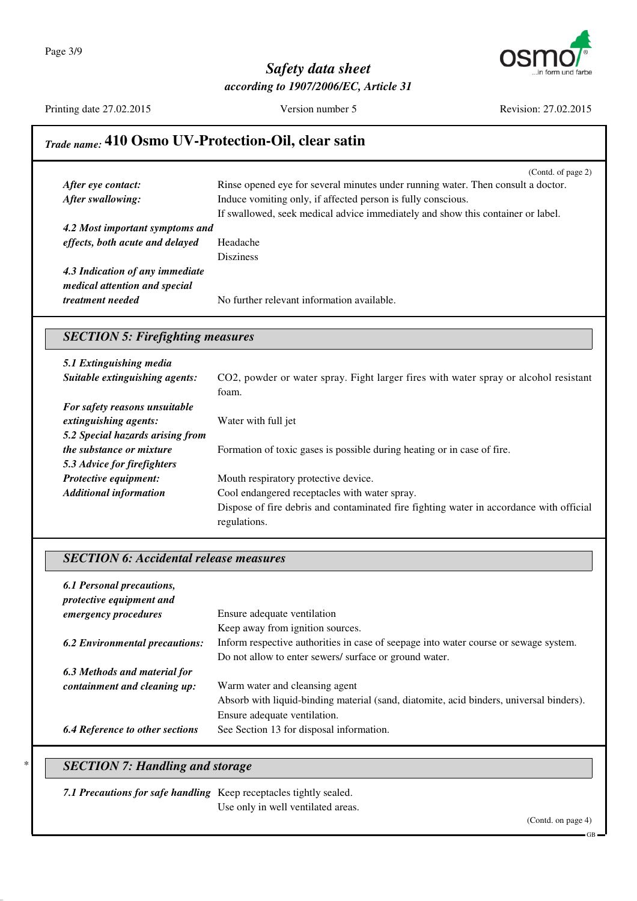

Printing date 27.02.2015 Version number 5 Revision: 27.02.2015

## *Trade name:* **410 Osmo UV-Protection-Oil, clear satin**

|                                 | (Contd. of page 2)                                                               |
|---------------------------------|----------------------------------------------------------------------------------|
| After eye contact:              | Rinse opened eye for several minutes under running water. Then consult a doctor. |
| After swallowing:               | Induce vomiting only, if affected person is fully conscious.                     |
|                                 | If swallowed, seek medical advice immediately and show this container or label.  |
| 4.2 Most important symptoms and |                                                                                  |
| effects, both acute and delayed | Headache                                                                         |
|                                 | <b>Disziness</b>                                                                 |
| 4.3 Indication of any immediate |                                                                                  |
| medical attention and special   |                                                                                  |
| treatment needed                | No further relevant information available.                                       |

### *SECTION 5: Firefighting measures*

| 5.1 Extinguishing media          |                                                                                         |
|----------------------------------|-----------------------------------------------------------------------------------------|
| Suitable extinguishing agents:   | CO2, powder or water spray. Fight larger fires with water spray or alcohol resistant    |
|                                  | foam.                                                                                   |
| For safety reasons unsuitable    |                                                                                         |
| extinguishing agents:            | Water with full jet                                                                     |
| 5.2 Special hazards arising from |                                                                                         |
| <i>the substance or mixture</i>  | Formation of toxic gases is possible during heating or in case of fire.                 |
| 5.3 Advice for firefighters      |                                                                                         |
| Protective equipment:            | Mouth respiratory protective device.                                                    |
| <b>Additional information</b>    | Cool endangered receptacles with water spray.                                           |
|                                  | Dispose of fire debris and contaminated fire fighting water in accordance with official |
|                                  | regulations.                                                                            |

### *SECTION 6: Accidental release measures*

| 6.1 Personal precautions,<br>protective equipment and |                                                                                         |
|-------------------------------------------------------|-----------------------------------------------------------------------------------------|
| emergency procedures                                  | Ensure adequate ventilation                                                             |
|                                                       | Keep away from ignition sources.                                                        |
| <b>6.2 Environmental precautions:</b>                 | Inform respective authorities in case of seepage into water course or sewage system.    |
|                                                       | Do not allow to enter sewers/ surface or ground water.                                  |
| 6.3 Methods and material for                          |                                                                                         |
| containment and cleaning up:                          | Warm water and cleansing agent                                                          |
|                                                       | Absorb with liquid-binding material (sand, diatomite, acid binders, universal binders). |
|                                                       | Ensure adequate ventilation.                                                            |
| <b>6.4 Reference to other sections</b>                | See Section 13 for disposal information.                                                |

#### **SECTION 7: Handling and storage**

| 7.1 Precautions for safe handling Keep receptacles tightly sealed. |                                    |  |
|--------------------------------------------------------------------|------------------------------------|--|
|                                                                    | Use only in well ventilated areas. |  |

GB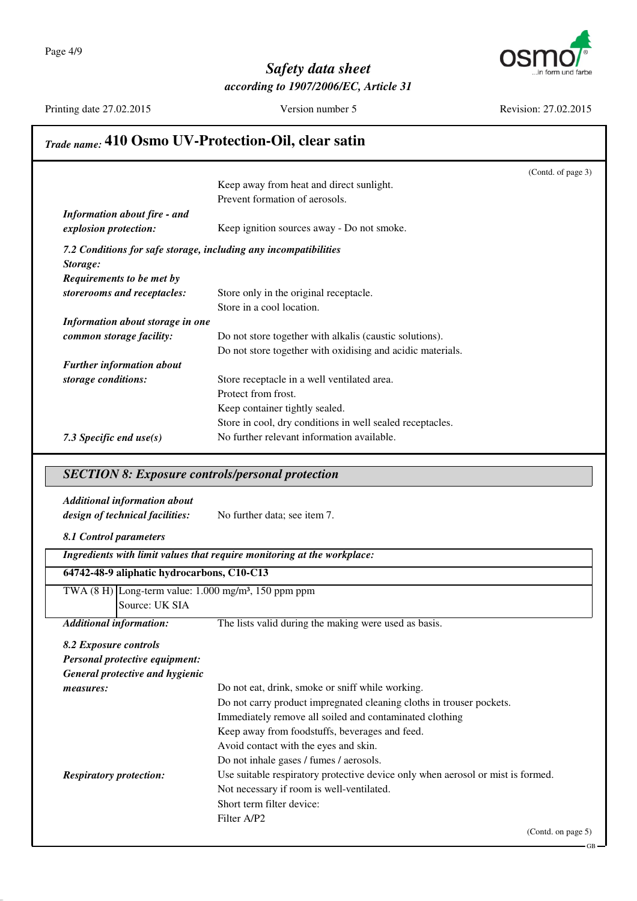

Printing date 27.02.2015 Version number 5 Revision: 27.02.2015

## *Trade name:* **410 Osmo UV-Protection-Oil, clear satin**

|                                                                  |                                                            | (Contd. of page 3) |
|------------------------------------------------------------------|------------------------------------------------------------|--------------------|
|                                                                  | Keep away from heat and direct sunlight.                   |                    |
|                                                                  | Prevent formation of aerosols.                             |                    |
| <b>Information about fire - and</b>                              |                                                            |                    |
| explosion protection:                                            | Keep ignition sources away - Do not smoke.                 |                    |
| 7.2 Conditions for safe storage, including any incompatibilities |                                                            |                    |
| Storage:                                                         |                                                            |                    |
| Requirements to be met by                                        |                                                            |                    |
| storerooms and receptacles:                                      | Store only in the original receptacle.                     |                    |
|                                                                  | Store in a cool location.                                  |                    |
| Information about storage in one                                 |                                                            |                    |
| common storage facility:                                         | Do not store together with alkalis (caustic solutions).    |                    |
|                                                                  | Do not store together with oxidising and acidic materials. |                    |
| <b>Further information about</b>                                 |                                                            |                    |
| storage conditions:                                              | Store receptacle in a well ventilated area.                |                    |
|                                                                  | Protect from frost.                                        |                    |
|                                                                  | Keep container tightly sealed.                             |                    |
|                                                                  | Store in cool, dry conditions in well sealed receptacles.  |                    |
| 7.3 Specific end $use(s)$                                        | No further relevant information available.                 |                    |

#### *SECTION 8: Exposure controls/personal protection*

## *Additional information about*

*design of technical facilities:* No further data; see item 7.

*8.1 Control parameters*

| Ingredients with limit values that require monitoring at the workplace: |                                                                                 |  |
|-------------------------------------------------------------------------|---------------------------------------------------------------------------------|--|
| 64742-48-9 aliphatic hydrocarbons, C10-C13                              |                                                                                 |  |
| TWA $(8 H)$ Long-term value: 1.000 mg/m <sup>3</sup> , 150 ppm ppm      |                                                                                 |  |
| Source: UK SIA                                                          |                                                                                 |  |
| <b>Additional information:</b>                                          | The lists valid during the making were used as basis.                           |  |
| 8.2 Exposure controls                                                   |                                                                                 |  |
| Personal protective equipment:                                          |                                                                                 |  |
| General protective and hygienic                                         |                                                                                 |  |
| measures:                                                               | Do not eat, drink, smoke or sniff while working.                                |  |
|                                                                         | Do not carry product impregnated cleaning cloths in trouser pockets.            |  |
|                                                                         | Immediately remove all soiled and contaminated clothing                         |  |
|                                                                         | Keep away from foodstuffs, beverages and feed.                                  |  |
|                                                                         | Avoid contact with the eyes and skin.                                           |  |
|                                                                         | Do not inhale gases / fumes / aerosols.                                         |  |
| <i>Respiratory protection:</i>                                          | Use suitable respiratory protective device only when aerosol or mist is formed. |  |
|                                                                         | Not necessary if room is well-ventilated.                                       |  |
|                                                                         | Short term filter device:                                                       |  |
|                                                                         | Filter A/P2                                                                     |  |
|                                                                         | (Contd. on page $5$ )                                                           |  |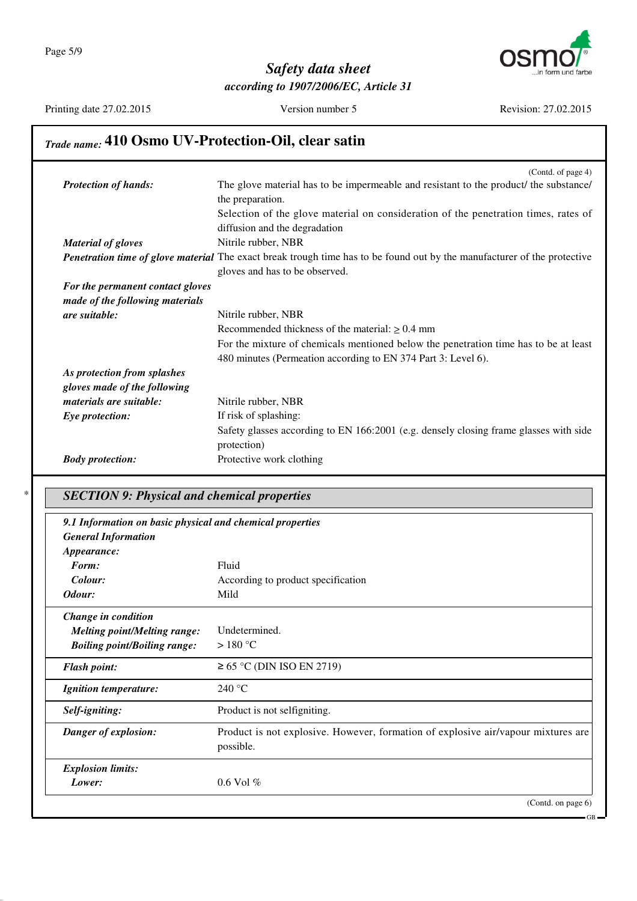

Printing date 27.02.2015 Version number 5 Revision: 27.02.2015

## *Trade name:* **410 Osmo UV-Protection-Oil, clear satin**

|                                  | (Contd. of page 4)                                                                                                              |
|----------------------------------|---------------------------------------------------------------------------------------------------------------------------------|
| <b>Protection of hands:</b>      | The glove material has to be impermeable and resistant to the product/ the substance/                                           |
|                                  | the preparation.                                                                                                                |
|                                  | Selection of the glove material on consideration of the penetration times, rates of                                             |
|                                  | diffusion and the degradation                                                                                                   |
| <b>Material of gloves</b>        | Nitrile rubber, NBR                                                                                                             |
|                                  | <b>Penetration time of glove material</b> The exact break trough time has to be found out by the manufacturer of the protective |
|                                  | gloves and has to be observed.                                                                                                  |
| For the permanent contact gloves |                                                                                                                                 |
| made of the following materials  |                                                                                                                                 |
| are suitable:                    | Nitrile rubber, NBR                                                                                                             |
|                                  | Recommended thickness of the material: $\geq 0.4$ mm                                                                            |
|                                  | For the mixture of chemicals mentioned below the penetration time has to be at least                                            |
|                                  | 480 minutes (Permeation according to EN 374 Part 3: Level 6).                                                                   |
| As protection from splashes      |                                                                                                                                 |
| gloves made of the following     |                                                                                                                                 |
| materials are suitable:          | Nitrile rubber, NBR                                                                                                             |
| Eye protection:                  | If risk of splashing:                                                                                                           |
|                                  | Safety glasses according to EN 166:2001 (e.g. densely closing frame glasses with side                                           |
|                                  | protection)                                                                                                                     |
| <b>Body protection:</b>          | Protective work clothing                                                                                                        |
|                                  |                                                                                                                                 |

## \* *SECTION 9: Physical and chemical properties*

| 9.1 Information on basic physical and chemical properties<br><b>General Information</b><br><i>Appearance:</i> |                                                                                                |
|---------------------------------------------------------------------------------------------------------------|------------------------------------------------------------------------------------------------|
| Form:                                                                                                         | Fluid                                                                                          |
| Colour:                                                                                                       | According to product specification                                                             |
| Odour:                                                                                                        | Mild                                                                                           |
| Change in condition                                                                                           |                                                                                                |
| <b>Melting point/Melting range:</b>                                                                           | Undetermined.                                                                                  |
| <b>Boiling point/Boiling range:</b>                                                                           | $>180^{\circ}$ C                                                                               |
| <b>Flash point:</b>                                                                                           | $\geq$ 65 °C (DIN ISO EN 2719)                                                                 |
| <b>Ignition temperature:</b>                                                                                  | 240 °C                                                                                         |
| Self-igniting:                                                                                                | Product is not selfigniting.                                                                   |
| Danger of explosion:                                                                                          | Product is not explosive. However, formation of explosive air/vapour mixtures are<br>possible. |
| <b>Explosion limits:</b>                                                                                      |                                                                                                |
| Lower:                                                                                                        | $0.6$ Vol $%$                                                                                  |
|                                                                                                               | (Contd. on page 6)                                                                             |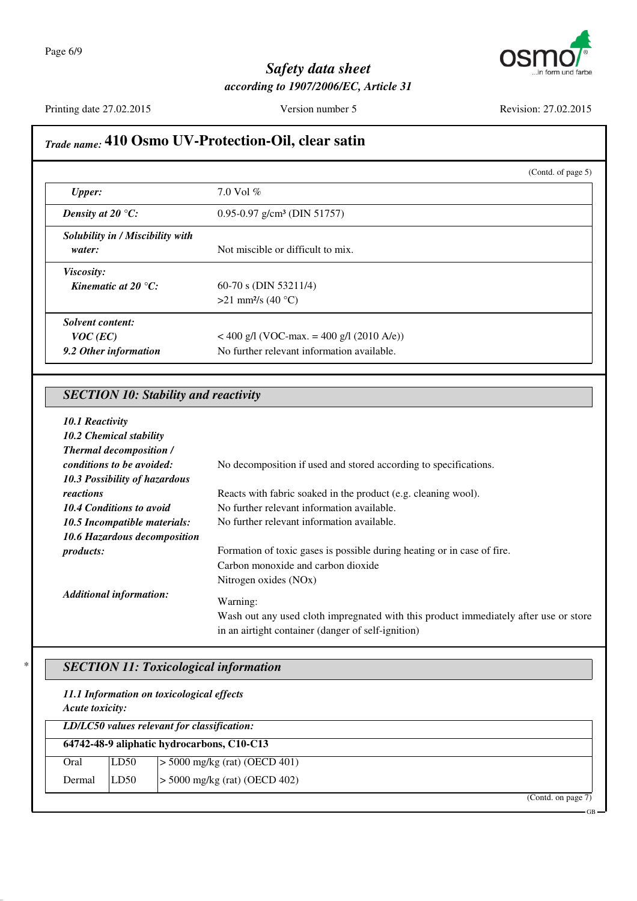

Printing date 27.02.2015 Version number 5 Revision: 27.02.2015

GB

## *Trade name:* **410 Osmo UV-Protection-Oil, clear satin**

|                                     |                                             | (Contd. of page $5$ ) |
|-------------------------------------|---------------------------------------------|-----------------------|
| <b>Upper:</b>                       | 7.0 Vol $%$                                 |                       |
| Density at 20 $\mathrm{^{\circ}C:}$ | $0.95 - 0.97$ g/cm <sup>3</sup> (DIN 51757) |                       |
| Solubility in / Miscibility with    |                                             |                       |
| water:                              | Not miscible or difficult to mix.           |                       |
| Viscosity:                          |                                             |                       |
| Kinematic at 20 $^{\circ}C$ :       | $60-70$ s (DIN 53211/4)                     |                       |
|                                     | $>21$ mm <sup>2</sup> /s (40 °C)            |                       |
| Solvent content:                    |                                             |                       |
| $VOC$ (EC)                          | $<$ 400 g/l (VOC-max. = 400 g/l (2010 A/e)) |                       |
| 9.2 Other information               | No further relevant information available.  |                       |

### *SECTION 10: Stability and reactivity*

| 10.1 Reactivity                 |                                                                                                                                                        |
|---------------------------------|--------------------------------------------------------------------------------------------------------------------------------------------------------|
| 10.2 Chemical stability         |                                                                                                                                                        |
| <b>Thermal decomposition /</b>  |                                                                                                                                                        |
| conditions to be avoided:       | No decomposition if used and stored according to specifications.                                                                                       |
| 10.3 Possibility of hazardous   |                                                                                                                                                        |
| reactions                       | Reacts with fabric soaked in the product (e.g. cleaning wool).                                                                                         |
| <b>10.4 Conditions to avoid</b> | No further relevant information available.                                                                                                             |
| 10.5 Incompatible materials:    | No further relevant information available.                                                                                                             |
| 10.6 Hazardous decomposition    |                                                                                                                                                        |
| <i>products:</i>                | Formation of toxic gases is possible during heating or in case of fire.                                                                                |
|                                 | Carbon monoxide and carbon dioxide                                                                                                                     |
|                                 | Nitrogen oxides (NO <sub>x</sub> )                                                                                                                     |
| <b>Additional information:</b>  | Warning:<br>Wash out any used cloth impregnated with this product immediately after use or store<br>in an airtight container (danger of self-ignition) |

## \* *SECTION 11: Toxicological information*

#### *11.1 Information on toxicological effects*

*Acute toxicity:*

| LD/LC50 values relevant for classification: |      |                                 |  |
|---------------------------------------------|------|---------------------------------|--|
| 64742-48-9 aliphatic hydrocarbons, C10-C13  |      |                                 |  |
| Oral                                        | LD50 | $> 5000$ mg/kg (rat) (OECD 401) |  |
| Dermal                                      | LD50 | $> 5000$ mg/kg (rat) (OECD 402) |  |
|                                             |      | (Cond. on page 7)               |  |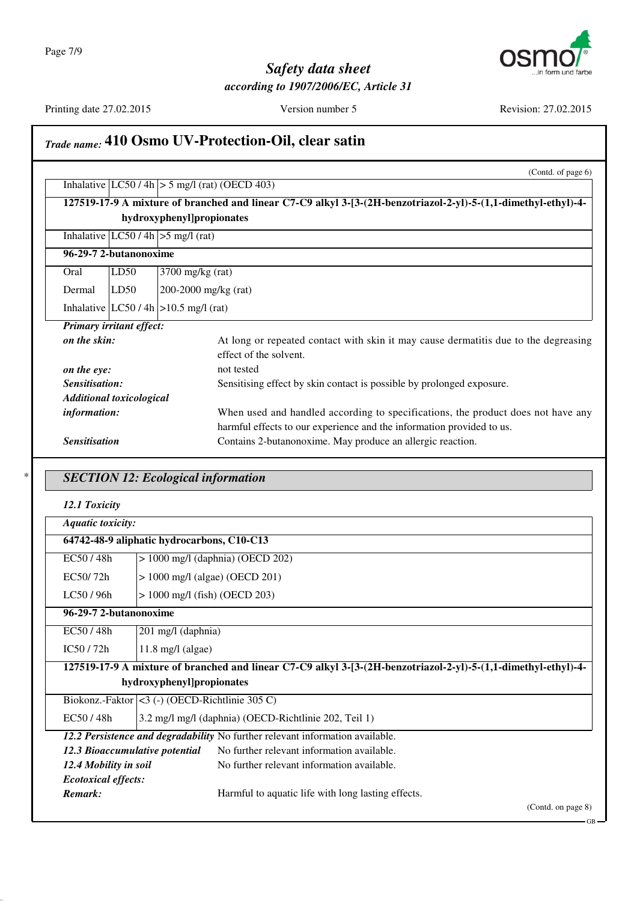

Printing date 27.02.2015 Version number 5 Revision: 27.02.2015

GB

## *Trade name:* **410 Osmo UV-Protection-Oil, clear satin**

|                |                                 |                                 | (Contd. of page 6)                                                                                             |
|----------------|---------------------------------|---------------------------------|----------------------------------------------------------------------------------------------------------------|
|                |                                 |                                 | Inhalative $ LC50 / 4h  > 5$ mg/l (rat) (OECD 403)                                                             |
|                |                                 |                                 | 127519-17-9 A mixture of branched and linear C7-C9 alkyl 3-[3-(2H-benzotriazol-2-yl)-5-(1,1-dimethyl-ethyl)-4- |
|                |                                 |                                 | hydroxyphenyl]propionates                                                                                      |
|                |                                 |                                 | Inhalative $ LC50/4h  > 5$ mg/l (rat)                                                                          |
|                |                                 | 96-29-7 2-butanonoxime          |                                                                                                                |
|                | Oral                            | LD50                            | $3700$ mg/kg (rat)                                                                                             |
|                | Dermal                          | LD50                            | 200-2000 mg/kg $(rat)$                                                                                         |
|                |                                 |                                 | Inhalative $ LC50/4h  > 10.5$ mg/l (rat)                                                                       |
|                | <b>Primary irritant effect:</b> |                                 |                                                                                                                |
|                | on the skin:                    |                                 | At long or repeated contact with skin it may cause dermatitis due to the degreasing                            |
|                |                                 |                                 | effect of the solvent.                                                                                         |
| on the eye:    |                                 |                                 | not tested                                                                                                     |
| Sensitisation: |                                 |                                 | Sensitising effect by skin contact is possible by prolonged exposure.                                          |
|                |                                 | <b>Additional toxicological</b> |                                                                                                                |
|                | information:                    |                                 | When used and handled according to specifications, the product does not have any                               |
|                |                                 |                                 | harmful effects to our experience and the information provided to us.                                          |
|                | <b>Sensitisation</b>            |                                 | Contains 2-butanonoxime. May produce an allergic reaction.                                                     |

## \* *SECTION 12: Ecological information*

| <b>Aquatic toxicity:</b>                                                                                       |                                                    |                                                       |
|----------------------------------------------------------------------------------------------------------------|----------------------------------------------------|-------------------------------------------------------|
| 64742-48-9 aliphatic hydrocarbons, C10-C13                                                                     |                                                    |                                                       |
| EC50/48h                                                                                                       | $> 1000$ mg/l (daphnia) (OECD 202)                 |                                                       |
| EC50/72h                                                                                                       | $> 1000$ mg/l (algae) (OECD 201)                   |                                                       |
| LC50/96h                                                                                                       | $> 1000$ mg/l (fish) (OECD 203)                    |                                                       |
| 96-29-7 2-butanonoxime                                                                                         |                                                    |                                                       |
| EC50/48h                                                                                                       | 201 mg/l (daphnia)                                 |                                                       |
| IC50/72h                                                                                                       | $11.8 \text{ mg/l (algae)}$                        |                                                       |
| 127519-17-9 A mixture of branched and linear C7-C9 alkyl 3-[3-(2H-benzotriazol-2-yl)-5-(1,1-dimethyl-ethyl)-4- |                                                    |                                                       |
| hydroxyphenyl]propionates                                                                                      |                                                    |                                                       |
|                                                                                                                | Biokonz.-Faktor $ <$ 3 (-) (OECD-Richtlinie 305 C) |                                                       |
| EC50/48h                                                                                                       |                                                    | 3.2 mg/l mg/l (daphnia) (OECD-Richtlinie 202, Teil 1) |
| 12.2 Persistence and degradability No further relevant information available.                                  |                                                    |                                                       |
| 12.3 Bioaccumulative potential                                                                                 |                                                    | No further relevant information available.            |
| 12.4 Mobility in soil                                                                                          |                                                    | No further relevant information available.            |
| <b>Ecotoxical effects:</b>                                                                                     |                                                    |                                                       |
| Remark:                                                                                                        |                                                    | Harmful to aquatic life with long lasting effects.    |
|                                                                                                                |                                                    | (Contd. on page 8)                                    |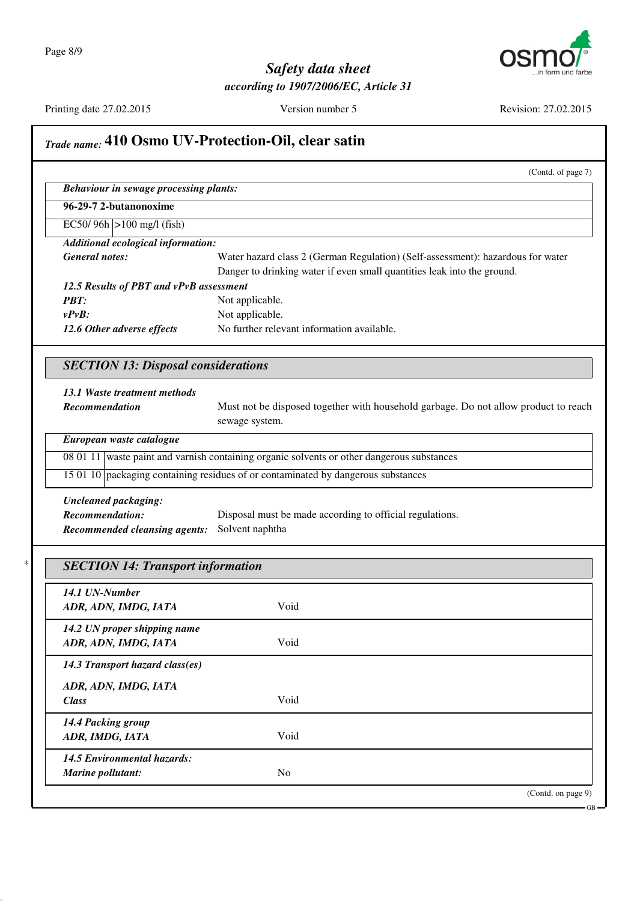

Printing date 27.02.2015 Version number 5 Revision: 27.02.2015

## *Trade name:* **410 Osmo UV-Protection-Oil, clear satin** (Contd. of page 7) *Behaviour in sewage processing plants:* **96-29-7 2-butanonoxime** EC50/ 96h >100 mg/l (fish) *Additional ecological information: General notes:* Water hazard class 2 (German Regulation) (Self-assessment): hazardous for water Danger to drinking water if even small quantities leak into the ground. *12.5 Results of PBT and vPvB assessment PBT:* Not applicable. *vPvB:* Not applicable. 12.6 Other adverse effects No further relevant information available. *SECTION 13: Disposal considerations 13.1 Waste treatment methods* **Recommendation** Must not be disposed together with household garbage. Do not allow product to reach sewage system. *European waste catalogue* 08 01 11 waste paint and varnish containing organic solvents or other dangerous substances 15 01 10 packaging containing residues of or contaminated by dangerous substances *Uncleaned packaging: Recommendation:* Disposal must be made according to official regulations. *Recommended cleansing agents:* Solvent naphtha \* *SECTION 14: Transport information 14.1 UN-Number ADR, ADN, IMDG, IATA* Void *14.2 UN proper shipping name ADR, ADN, IMDG, IATA* Void *14.3 Transport hazard class(es) ADR, ADN, IMDG, IATA Class* Void *14.4 Packing group ADR, IMDG, IATA* Void *14.5 Environmental hazards: Marine pollutant:* No (Contd. on page 9)

GB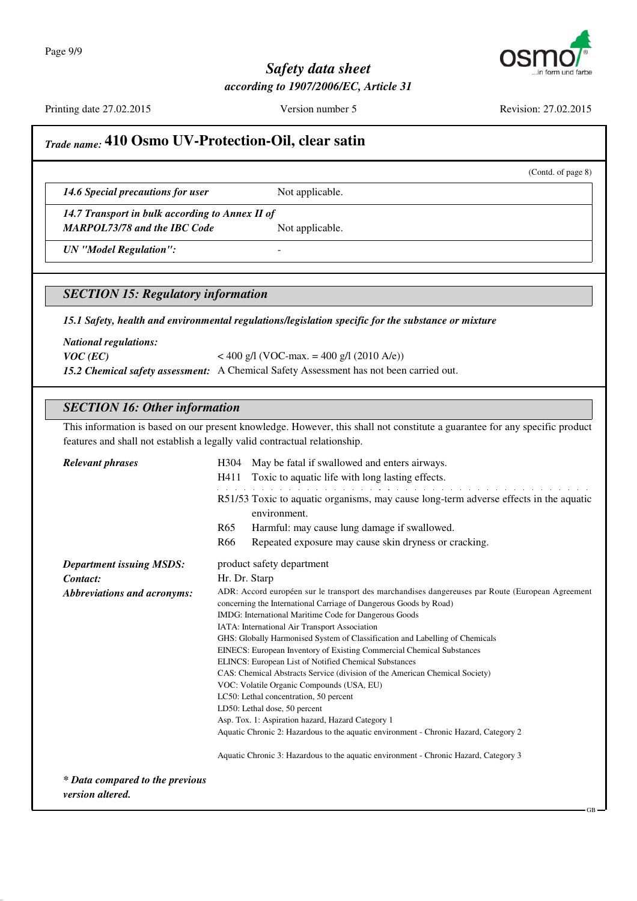

Printing date 27.02.2015 Version number 5 Revision: 27.02.2015

(Contd. of page 8)

## *Trade name:* **410 Osmo UV-Protection-Oil, clear satin**

14.6 Special precautions for user Not applicable.

*14.7 Transport in bulk according to Annex II of MARPOL73/78 and the IBC Code* Not applicable.

*UN "Model Regulation":* -

#### *SECTION 15: Regulatory information*

*15.1 Safety, health and environmental regulations/legislation specific for the substance or mixture*

*National regulations:*

*VOC* (*EC*) < 400 g/l (VOC-max. = 400 g/l (2010 A/e))

*15.2 Chemical safety assessment:* A Chemical Safety Assessment has not been carried out.

#### *SECTION 16: Other information*

This information is based on our present knowledge. However, this shall not constitute a guarantee for any specific product features and shall not establish a legally valid contractual relationship.

| <b>Relevant phrases</b>                             | May be fatal if swallowed and enters airways.<br>H304<br>Toxic to aquatic life with long lasting effects.<br>H411                                                     |  |
|-----------------------------------------------------|-----------------------------------------------------------------------------------------------------------------------------------------------------------------------|--|
|                                                     | R51/53 Toxic to aquatic organisms, may cause long-term adverse effects in the aquatic<br>environment.                                                                 |  |
|                                                     | Harmful: may cause lung damage if swallowed.<br>R <sub>65</sub>                                                                                                       |  |
|                                                     | R <sub>66</sub><br>Repeated exposure may cause skin dryness or cracking.                                                                                              |  |
| <b>Department issuing MSDS:</b>                     | product safety department                                                                                                                                             |  |
| Contact:                                            | Hr. Dr. Starp                                                                                                                                                         |  |
| <b>Abbreviations and acronyms:</b>                  | ADR: Accord européen sur le transport des marchandises dangereuses par Route (European Agreement<br>concerning the International Carriage of Dangerous Goods by Road) |  |
|                                                     | IMDG: International Maritime Code for Dangerous Goods                                                                                                                 |  |
|                                                     | IATA: International Air Transport Association                                                                                                                         |  |
|                                                     | GHS: Globally Harmonised System of Classification and Labelling of Chemicals                                                                                          |  |
|                                                     | EINECS: European Inventory of Existing Commercial Chemical Substances                                                                                                 |  |
|                                                     | ELINCS: European List of Notified Chemical Substances                                                                                                                 |  |
|                                                     | CAS: Chemical Abstracts Service (division of the American Chemical Society)                                                                                           |  |
|                                                     | VOC: Volatile Organic Compounds (USA, EU)<br>LC50: Lethal concentration, 50 percent                                                                                   |  |
|                                                     | LD50: Lethal dose, 50 percent                                                                                                                                         |  |
|                                                     | Asp. Tox. 1: Aspiration hazard, Hazard Category 1                                                                                                                     |  |
|                                                     | Aquatic Chronic 2: Hazardous to the aquatic environment - Chronic Hazard, Category 2                                                                                  |  |
|                                                     | Aquatic Chronic 3: Hazardous to the aquatic environment - Chronic Hazard, Category 3                                                                                  |  |
| * Data compared to the previous<br>version altered. |                                                                                                                                                                       |  |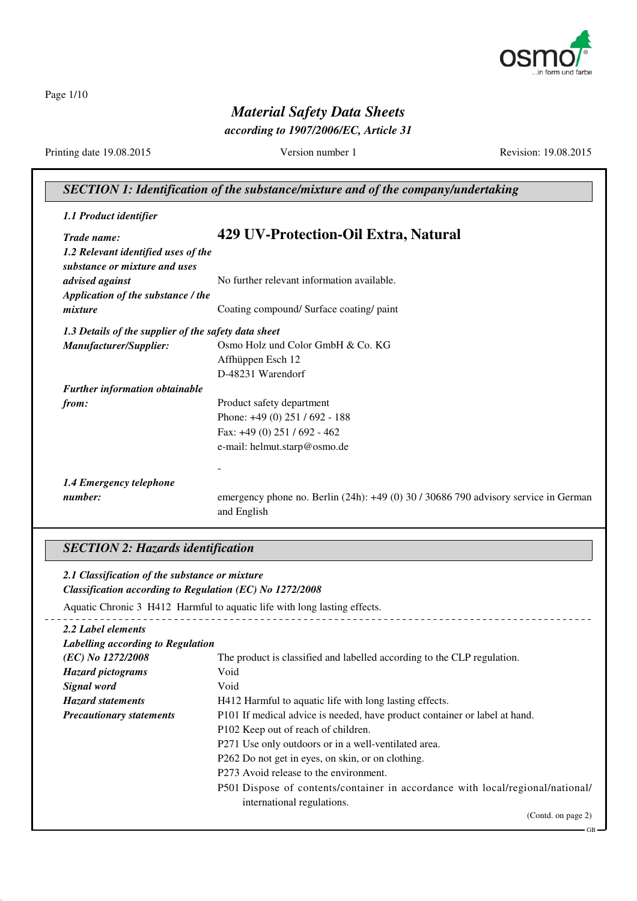

Page 1/10

## *Material Safety Data Sheets*

*according to 1907/2006/EC, Article 31*

Printing date 19.08.2015 Version number 1 Revision: 19.08.2015

GB

## *SECTION 1: Identification of the substance/mixture and of the company/undertaking*

| 1.1 Product identifier                               |                                                                                                    |  |
|------------------------------------------------------|----------------------------------------------------------------------------------------------------|--|
| Trade name:                                          | 429 UV-Protection-Oil Extra, Natural                                                               |  |
| 1.2 Relevant identified uses of the                  |                                                                                                    |  |
| substance or mixture and uses                        |                                                                                                    |  |
| advised against                                      | No further relevant information available.                                                         |  |
| Application of the substance / the                   |                                                                                                    |  |
| mixture                                              | Coating compound/ Surface coating/ paint                                                           |  |
| 1.3 Details of the supplier of the safety data sheet |                                                                                                    |  |
| Manufacturer/Supplier:                               | Osmo Holz und Color GmbH & Co. KG                                                                  |  |
|                                                      | Affhüppen Esch 12                                                                                  |  |
|                                                      | D-48231 Warendorf                                                                                  |  |
| <b>Further information obtainable</b>                |                                                                                                    |  |
| from:                                                | Product safety department                                                                          |  |
|                                                      | Phone: $+49(0)$ 251 / 692 - 188                                                                    |  |
|                                                      | Fax: $+49(0)$ 251 / 692 - 462                                                                      |  |
|                                                      | e-mail: helmut.starp@osmo.de                                                                       |  |
|                                                      |                                                                                                    |  |
| 1.4 Emergency telephone                              |                                                                                                    |  |
| number:                                              | emergency phone no. Berlin (24h): +49 (0) 30 / 30686 790 advisory service in German<br>and English |  |

## *SECTION 2: Hazards identification*

| 2.1 Classification of the substance or mixture                            |                                                                                                              |  |
|---------------------------------------------------------------------------|--------------------------------------------------------------------------------------------------------------|--|
| Classification according to Regulation (EC) No 1272/2008                  |                                                                                                              |  |
| Aquatic Chronic 3 H412 Harmful to aquatic life with long lasting effects. |                                                                                                              |  |
| 2.2 Label elements                                                        |                                                                                                              |  |
| Labelling according to Regulation                                         |                                                                                                              |  |
| (EC) No 1272/2008                                                         | The product is classified and labelled according to the CLP regulation.                                      |  |
| <b>Hazard pictograms</b>                                                  | Void                                                                                                         |  |
| Signal word                                                               | Void                                                                                                         |  |
| <b>Hazard statements</b>                                                  | H412 Harmful to aquatic life with long lasting effects.                                                      |  |
| <b>Precautionary statements</b>                                           | P101 If medical advice is needed, have product container or label at hand.                                   |  |
|                                                                           | P102 Keep out of reach of children.                                                                          |  |
|                                                                           | P271 Use only outdoors or in a well-ventilated area.                                                         |  |
|                                                                           | P262 Do not get in eyes, on skin, or on clothing.                                                            |  |
|                                                                           | P273 Avoid release to the environment.                                                                       |  |
|                                                                           | P501 Dispose of contents/container in accordance with local/regional/national/<br>international regulations. |  |
|                                                                           | (Contd. on page 2)                                                                                           |  |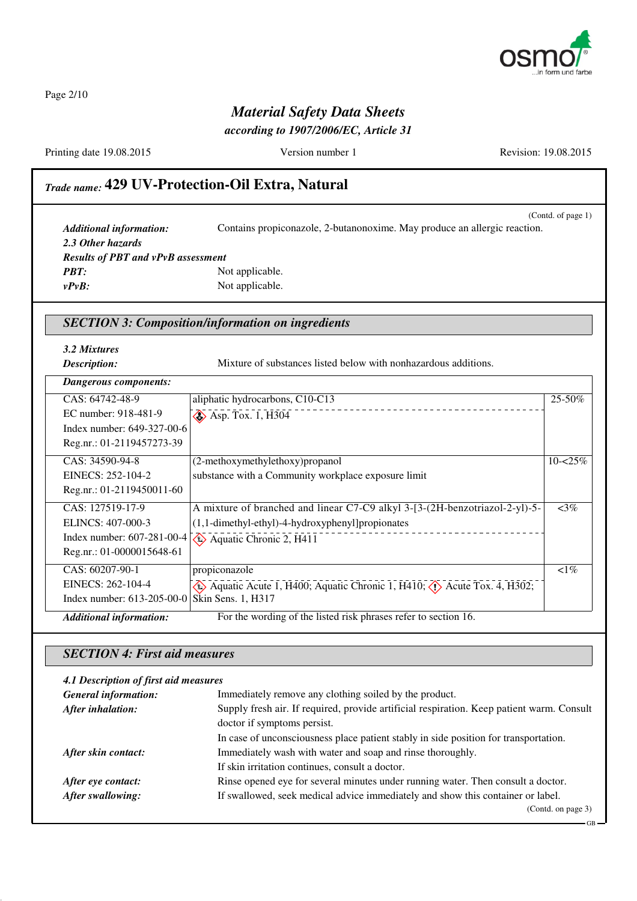

Page 2/10

## *Material Safety Data Sheets*

*according to 1907/2006/EC, Article 31*

Printing date 19.08.2015 Version number 1 Revision: 19.08.2015

## *Trade name:* **429 UV-Protection-Oil Extra, Natural**

(Contd. of page 1) *Additional information:* Contains propiconazole, 2-butanonoxime. May produce an allergic reaction. *2.3 Other hazards Results of PBT and vPvB assessment PBT:* Not applicable. *vPvB:* Not applicable.

#### *SECTION 3: Composition/information on ingredients*

*3.2 Mixtures*

**Description:** Mixture of substances listed below with nonhazardous additions.

| Dangerous components:                         |                                                                                                                   |             |
|-----------------------------------------------|-------------------------------------------------------------------------------------------------------------------|-------------|
| CAS: 64742-48-9                               | aliphatic hydrocarbons, C10-C13                                                                                   | 25-50%      |
| EC number: 918-481-9                          | $\diamond$ Asp. Tox. 1, H304                                                                                      |             |
| Index number: 649-327-00-6                    |                                                                                                                   |             |
| Reg.nr.: 01-2119457273-39                     |                                                                                                                   |             |
| CAS: 34590-94-8                               | (2-methoxymethylethoxy) propanol                                                                                  | $10 - 25\%$ |
| EINECS: 252-104-2                             | substance with a Community workplace exposure limit                                                               |             |
| Reg.nr.: 01-2119450011-60                     |                                                                                                                   |             |
| CAS: 127519-17-9                              | A mixture of branched and linear C7-C9 alkyl 3-[3-(2H-benzotriazol-2-yl)-5-                                       | $<3\%$      |
| ELINCS: 407-000-3                             | $(1,1$ -dimethyl-ethyl)-4-hydroxyphenyl]propionates                                                               |             |
|                                               | Index number: $607-281-00-4$ $\sqrt{\frac{2}{3}}$ Aquatic Chronic 2, H411                                         |             |
| Reg.nr.: 01-0000015648-61                     |                                                                                                                   |             |
| CAS: 60207-90-1                               | propiconazole                                                                                                     | $\leq 1\%$  |
| EINECS: 262-104-4                             | $\langle \phi \rangle$ Aquatic Acute 1, H400; Aquatic Chronic 1, H410; $\langle \phi \rangle$ Acute Tox. 4, H302; |             |
| Index number: 613-205-00-0 Skin Sens. 1, H317 |                                                                                                                   |             |
| <b>Additional information:</b>                | For the wording of the listed risk phrases refer to section 16.                                                   |             |

#### *SECTION 4: First aid measures*

#### *4.1 Description of first aid measures*

| <b>General information:</b> | Immediately remove any clothing soiled by the product.                                    |  |
|-----------------------------|-------------------------------------------------------------------------------------------|--|
| After inhalation:           | Supply fresh air. If required, provide artificial respiration. Keep patient warm. Consult |  |
|                             | doctor if symptoms persist.                                                               |  |
|                             | In case of unconsciousness place patient stably in side position for transportation.      |  |
| After skin contact:         | Immediately wash with water and soap and rinse thoroughly.                                |  |
|                             | If skin irritation continues, consult a doctor.                                           |  |
| After eye contact:          | Rinse opened eye for several minutes under running water. Then consult a doctor.          |  |
| After swallowing:           | If swallowed, seek medical advice immediately and show this container or label.           |  |
|                             | (Cond. on page 3)                                                                         |  |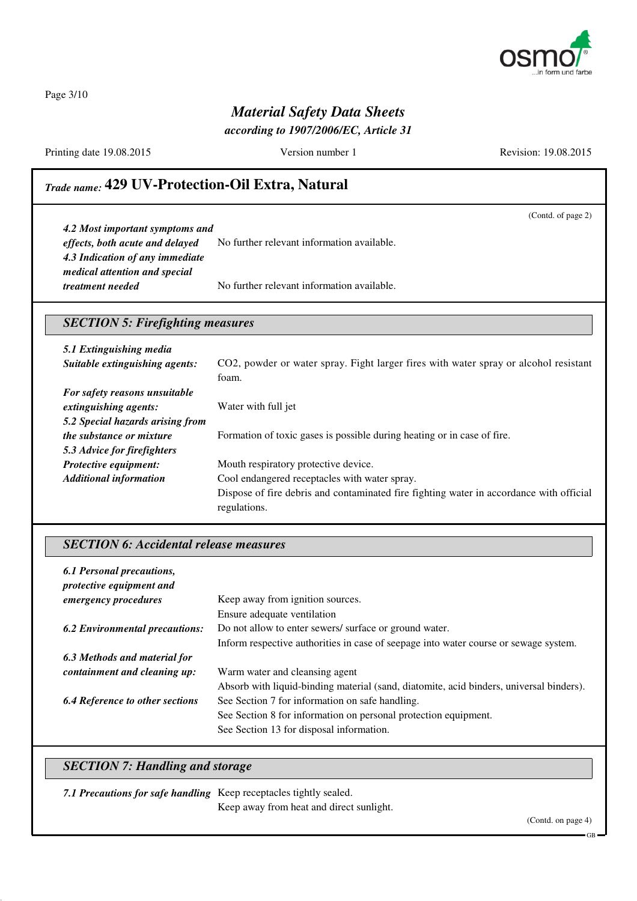

Page 3/10

## *Material Safety Data Sheets*

*according to 1907/2006/EC, Article 31*

Printing date 19.08.2015 Version number 1 Revision: 19.08.2015

(Contd. of page 2)

## *Trade name:* **429 UV-Protection-Oil Extra, Natural**

*4.2 Most important symptoms and effects, both acute and delayed* No further relevant information available. *4.3 Indication of any immediate medical attention and special treatment needed* No further relevant information available.

#### *SECTION 5: Firefighting measures*

| 5.1 Extinguishing media          |                                                                                         |  |
|----------------------------------|-----------------------------------------------------------------------------------------|--|
| Suitable extinguishing agents:   | CO2, powder or water spray. Fight larger fires with water spray or alcohol resistant    |  |
|                                  | foam.                                                                                   |  |
| For safety reasons unsuitable    |                                                                                         |  |
| extinguishing agents:            | Water with full jet                                                                     |  |
| 5.2 Special hazards arising from |                                                                                         |  |
| <i>the substance or mixture</i>  | Formation of toxic gases is possible during heating or in case of fire.                 |  |
| 5.3 Advice for firefighters      |                                                                                         |  |
| Protective equipment:            | Mouth respiratory protective device.                                                    |  |
| <b>Additional information</b>    | Cool endangered receptacles with water spray.                                           |  |
|                                  | Dispose of fire debris and contaminated fire fighting water in accordance with official |  |
|                                  | regulations.                                                                            |  |

#### *SECTION 6: Accidental release measures*

| 6.1 Personal precautions,<br>protective equipment and |                                                                                         |
|-------------------------------------------------------|-----------------------------------------------------------------------------------------|
| <i>emergency procedures</i>                           | Keep away from ignition sources.                                                        |
|                                                       | Ensure adequate ventilation                                                             |
| <b>6.2 Environmental precautions:</b>                 | Do not allow to enter sewers/ surface or ground water.                                  |
|                                                       | Inform respective authorities in case of seepage into water course or sewage system.    |
| 6.3 Methods and material for                          |                                                                                         |
| containment and cleaning up:                          | Warm water and cleansing agent                                                          |
|                                                       | Absorb with liquid-binding material (sand, diatomite, acid binders, universal binders). |
| <b>6.4 Reference to other sections</b>                | See Section 7 for information on safe handling.                                         |
|                                                       | See Section 8 for information on personal protection equipment.                         |
|                                                       | See Section 13 for disposal information.                                                |

### *SECTION 7: Handling and storage*

*7.1 Precautions for safe handling* Keep receptacles tightly sealed.

Keep away from heat and direct sunlight.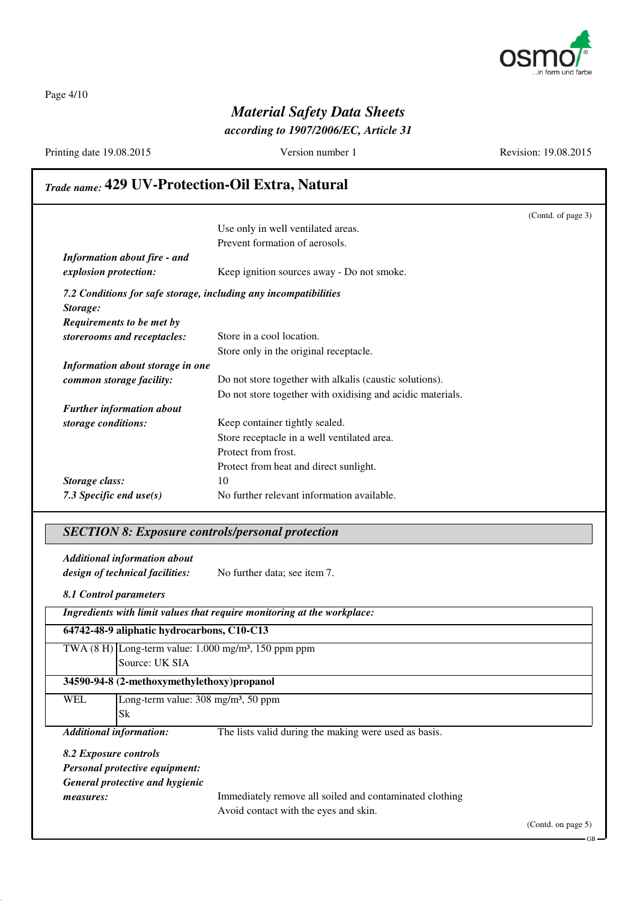

Page 4/10

## *Material Safety Data Sheets*

*according to 1907/2006/EC, Article 31*

Printing date 19.08.2015 Version number 1 Revision: 19.08.2015

## *Trade name:* **429 UV-Protection-Oil Extra, Natural**

|                                                                  |                                                            | (Contd. of page 3) |
|------------------------------------------------------------------|------------------------------------------------------------|--------------------|
|                                                                  | Use only in well ventilated areas.                         |                    |
|                                                                  | Prevent formation of aerosols.                             |                    |
| <b>Information about fire - and</b>                              |                                                            |                    |
| explosion protection:                                            | Keep ignition sources away - Do not smoke.                 |                    |
| 7.2 Conditions for safe storage, including any incompatibilities |                                                            |                    |
| Storage:                                                         |                                                            |                    |
| Requirements to be met by                                        |                                                            |                    |
| storerooms and receptacles:                                      | Store in a cool location.                                  |                    |
|                                                                  | Store only in the original receptacle.                     |                    |
| Information about storage in one                                 |                                                            |                    |
| common storage facility:                                         | Do not store together with alkalis (caustic solutions).    |                    |
|                                                                  | Do not store together with oxidising and acidic materials. |                    |
| <b>Further information about</b>                                 |                                                            |                    |
| storage conditions:                                              | Keep container tightly sealed.                             |                    |
|                                                                  | Store receptacle in a well ventilated area.                |                    |
|                                                                  | Protect from frost.                                        |                    |
|                                                                  | Protect from heat and direct sunlight.                     |                    |
| Storage class:                                                   | 10                                                         |                    |
| 7.3 Specific end $use(s)$                                        | No further relevant information available.                 |                    |

#### *SECTION 8: Exposure controls/personal protection*

*Additional information about design of technical facilities:* No further data; see item 7.

*8.1 Control parameters*

|                                 | Ingredients with limit values that require monitoring at the workplace: |                                                         |  |  |
|---------------------------------|-------------------------------------------------------------------------|---------------------------------------------------------|--|--|
|                                 | 64742-48-9 aliphatic hydrocarbons, C10-C13                              |                                                         |  |  |
|                                 | TWA $(8 H)$ Long-term value: 1.000 mg/m <sup>3</sup> , 150 ppm ppm      |                                                         |  |  |
|                                 | Source: UK SIA                                                          |                                                         |  |  |
|                                 | 34590-94-8 (2-methoxymethylethoxy)propanol                              |                                                         |  |  |
| <b>WEL</b>                      | Long-term value: $308 \text{ mg/m}^3$ , $50 \text{ ppm}$                |                                                         |  |  |
|                                 | <b>Sk</b>                                                               |                                                         |  |  |
|                                 | <b>Additional information:</b>                                          | The lists valid during the making were used as basis.   |  |  |
| 8.2 Exposure controls           |                                                                         |                                                         |  |  |
|                                 | Personal protective equipment:                                          |                                                         |  |  |
| General protective and hygienic |                                                                         |                                                         |  |  |
| measures:                       |                                                                         | Immediately remove all soiled and contaminated clothing |  |  |
|                                 |                                                                         | Avoid contact with the eyes and skin.                   |  |  |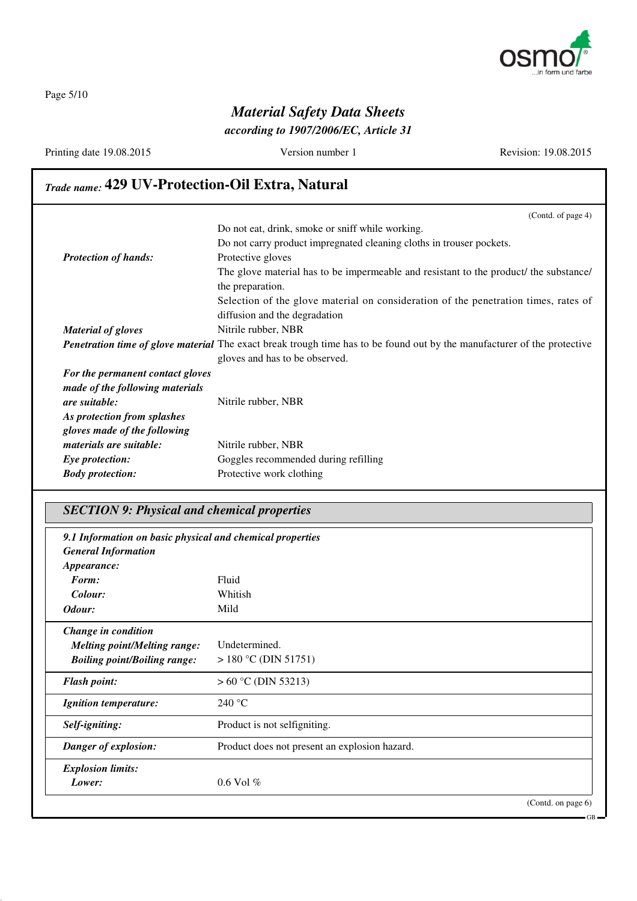

Page 5/10

# *Material Safety Data Sheets*

*according to 1907/2006/EC, Article 31*

Printing date 19.08.2015 Version number 1 Revision: 19.08.2015

## *Trade name:* **429 UV-Protection-Oil Extra, Natural**

|                                                                                                                                 | (Contd. of page 4)                                                                    |
|---------------------------------------------------------------------------------------------------------------------------------|---------------------------------------------------------------------------------------|
|                                                                                                                                 | Do not eat, drink, smoke or sniff while working.                                      |
|                                                                                                                                 | Do not carry product impregnated cleaning cloths in trouser pockets.                  |
| <b>Protection of hands:</b>                                                                                                     | Protective gloves                                                                     |
|                                                                                                                                 | The glove material has to be impermeable and resistant to the product/ the substance/ |
|                                                                                                                                 | the preparation.                                                                      |
|                                                                                                                                 | Selection of the glove material on consideration of the penetration times, rates of   |
|                                                                                                                                 | diffusion and the degradation                                                         |
| <b>Material of gloves</b>                                                                                                       | Nitrile rubber, NBR                                                                   |
| <b>Penetration time of glove material</b> The exact break trough time has to be found out by the manufacturer of the protective |                                                                                       |
|                                                                                                                                 | gloves and has to be observed.                                                        |
| For the permanent contact gloves                                                                                                |                                                                                       |
| made of the following materials                                                                                                 |                                                                                       |
| <i>are suitable:</i>                                                                                                            | Nitrile rubber, NBR                                                                   |
| As protection from splashes                                                                                                     |                                                                                       |
| gloves made of the following                                                                                                    |                                                                                       |
| <i>materials are suitable:</i>                                                                                                  | Nitrile rubber, NBR                                                                   |
| Eye protection:                                                                                                                 | Goggles recommended during refilling                                                  |
| <b>Body protection:</b>                                                                                                         | Protective work clothing                                                              |

## *SECTION 9: Physical and chemical properties*

| 9.1 Information on basic physical and chemical properties<br><b>General Information</b> |                                               |                    |
|-----------------------------------------------------------------------------------------|-----------------------------------------------|--------------------|
| Appearance:                                                                             |                                               |                    |
| Form:                                                                                   | Fluid                                         |                    |
| Colour:                                                                                 | Whitish                                       |                    |
| Odour:                                                                                  | Mild                                          |                    |
| Change in condition                                                                     |                                               |                    |
| <b>Melting point/Melting range:</b>                                                     | Undetermined.                                 |                    |
| <b>Boiling point/Boiling range:</b>                                                     | $> 180$ °C (DIN 51751)                        |                    |
| <b>Flash point:</b>                                                                     | $> 60 °C$ (DIN 53213)                         |                    |
| <b>Ignition temperature:</b>                                                            | 240 °C                                        |                    |
| Self-igniting:                                                                          | Product is not selfigniting.                  |                    |
| Danger of explosion:                                                                    | Product does not present an explosion hazard. |                    |
| <b>Explosion limits:</b>                                                                |                                               |                    |
| Lower:                                                                                  | $0.6$ Vol $%$                                 |                    |
|                                                                                         |                                               | (Contd. on page 6) |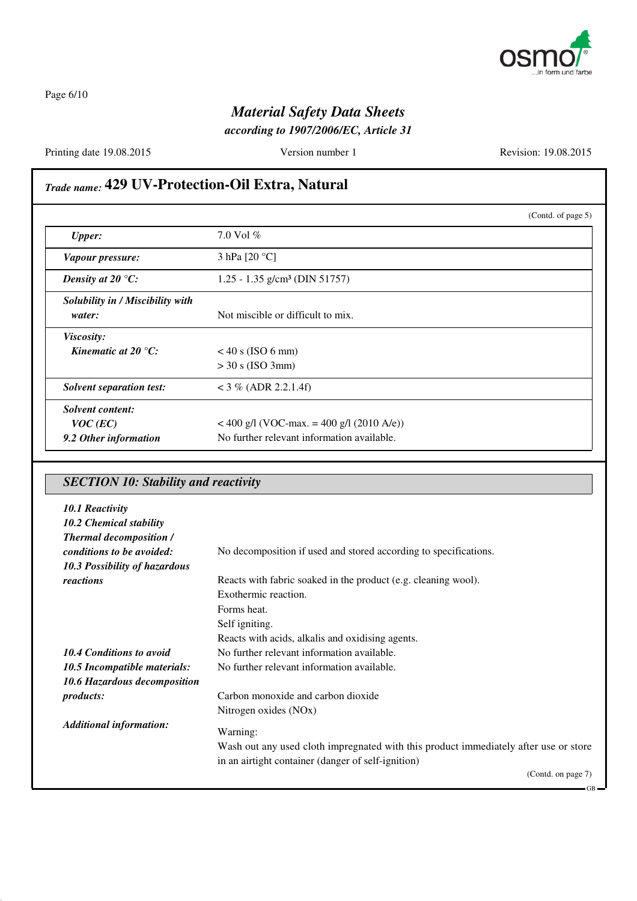

Page 6/10

## *Material Safety Data Sheets*

*according to 1907/2006/EC, Article 31*

Printing date 19.08.2015 Version number 1 Revision: 19.08.2015

## *Trade name:* **429 UV-Protection-Oil Extra, Natural**

|                                     |                                             | (Contd. of page 5) |
|-------------------------------------|---------------------------------------------|--------------------|
| <b>Upper:</b>                       | 7.0 Vol $%$                                 |                    |
| Vapour pressure:                    | 3 hPa $[20 °C]$                             |                    |
| Density at 20 $\mathrm{^{\circ}C:}$ | $1.25 - 1.35$ g/cm <sup>3</sup> (DIN 51757) |                    |
| Solubility in / Miscibility with    |                                             |                    |
| water:                              | Not miscible or difficult to mix.           |                    |
| Viscosity:                          |                                             |                    |
| Kinematic at 20 $\degree$ C:        | $<$ 40 s (ISO 6 mm)                         |                    |
|                                     | $>$ 30 s (ISO 3mm)                          |                    |
| <b>Solvent separation test:</b>     | $<$ 3 % (ADR 2.2.1.4f)                      |                    |
| Solvent content:                    |                                             |                    |
| $VOC$ (EC)                          | $<$ 400 g/l (VOC-max. = 400 g/l (2010 A/e)) |                    |
| 9.2 Other information               | No further relevant information available.  |                    |

## *SECTION 10: Stability and reactivity*

| <b>Thermal decomposition /</b><br>conditions to be avoided:<br>No decomposition if used and stored according to specifications. |                    |
|---------------------------------------------------------------------------------------------------------------------------------|--------------------|
| 10.3 Possibility of hazardous                                                                                                   |                    |
| Reacts with fabric soaked in the product (e.g. cleaning wool).<br>reactions                                                     |                    |
| Exothermic reaction.                                                                                                            |                    |
| Forms heat.                                                                                                                     |                    |
| Self igniting.                                                                                                                  |                    |
| Reacts with acids, alkalis and oxidising agents.                                                                                |                    |
| <b>10.4 Conditions to avoid</b><br>No further relevant information available.                                                   |                    |
| No further relevant information available.<br>10.5 Incompatible materials:                                                      |                    |
| 10.6 Hazardous decomposition                                                                                                    |                    |
| Carbon monoxide and carbon dioxide<br><i>products:</i>                                                                          |                    |
| Nitrogen oxides (NOx)                                                                                                           |                    |
| <b>Additional information:</b><br>Warning:                                                                                      |                    |
| Wash out any used cloth impregnated with this product immediately after use or store                                            |                    |
| in an airtight container (danger of self-ignition)                                                                              |                    |
|                                                                                                                                 | (Contd. on page 7) |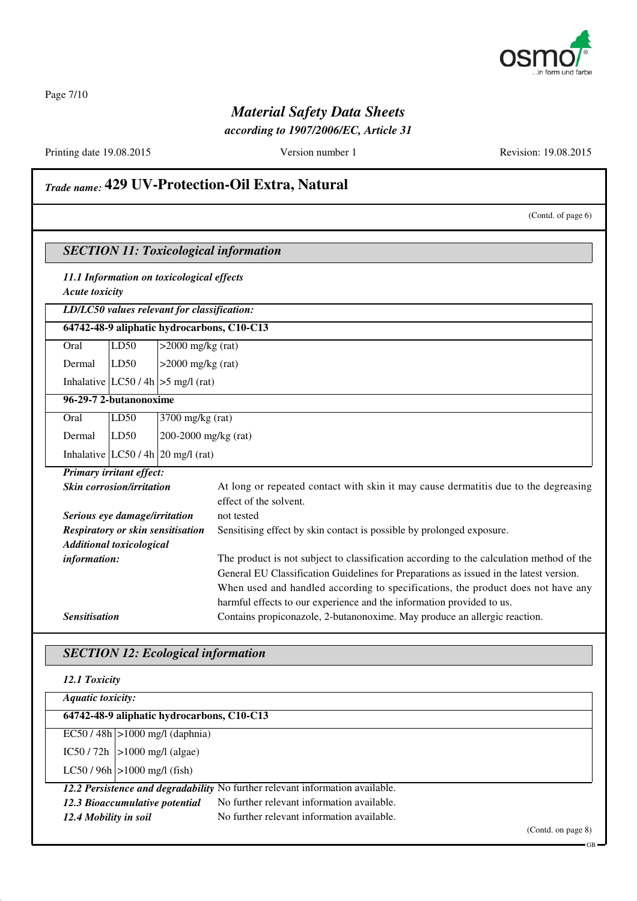

Page 7/10

## *Material Safety Data Sheets*

*according to 1907/2006/EC, Article 31*

Printing date 19.08.2015 Version number 1 Revision: 19.08.2015

## *Trade name:* **429 UV-Protection-Oil Extra, Natural**

|                      |                                                                    |                                             | (Contd. of page 6)                                                                                                                                 |  |
|----------------------|--------------------------------------------------------------------|---------------------------------------------|----------------------------------------------------------------------------------------------------------------------------------------------------|--|
|                      |                                                                    |                                             | <b>SECTION 11: Toxicological information</b>                                                                                                       |  |
|                      | 11.1 Information on toxicological effects<br><b>Acute toxicity</b> |                                             |                                                                                                                                                    |  |
|                      |                                                                    | LD/LC50 values relevant for classification: |                                                                                                                                                    |  |
|                      |                                                                    |                                             | 64742-48-9 aliphatic hydrocarbons, C10-C13                                                                                                         |  |
| Oral                 | LD50                                                               | $>2000$ mg/kg (rat)                         |                                                                                                                                                    |  |
| Dermal               | LD50                                                               | $>2000$ mg/kg (rat)                         |                                                                                                                                                    |  |
|                      |                                                                    | Inhalative $ LC50/4h  > 5$ mg/l (rat)       |                                                                                                                                                    |  |
|                      | 96-29-7 2-butanonoxime                                             |                                             |                                                                                                                                                    |  |
| Oral                 | LD50                                                               | $3700$ mg/kg (rat)                          |                                                                                                                                                    |  |
| Dermal               | LD50                                                               | 200-2000 mg/kg (rat)                        |                                                                                                                                                    |  |
|                      |                                                                    | Inhalative $ LC50/4h 20$ mg/l (rat)         |                                                                                                                                                    |  |
|                      | Primary irritant effect:                                           |                                             |                                                                                                                                                    |  |
|                      | <b>Skin corrosion/irritation</b>                                   |                                             | At long or repeated contact with skin it may cause dermatitis due to the degreasing<br>effect of the solvent.                                      |  |
|                      | Serious eye damage/irritation                                      |                                             | not tested                                                                                                                                         |  |
|                      | Respiratory or skin sensitisation                                  |                                             | Sensitising effect by skin contact is possible by prolonged exposure.                                                                              |  |
|                      | <b>Additional toxicological</b>                                    |                                             |                                                                                                                                                    |  |
|                      | information:                                                       |                                             | The product is not subject to classification according to the calculation method of the                                                            |  |
|                      |                                                                    |                                             | General EU Classification Guidelines for Preparations as issued in the latest version.                                                             |  |
|                      |                                                                    |                                             | When used and handled according to specifications, the product does not have any                                                                   |  |
| <b>Sensitisation</b> |                                                                    |                                             | harmful effects to our experience and the information provided to us.<br>Contains propiconazole, 2-butanonoxime. May produce an allergic reaction. |  |
|                      |                                                                    |                                             |                                                                                                                                                    |  |

## *SECTION 12: Ecological information*

| 12.1 Toxicity                              |                                                                               |                    |
|--------------------------------------------|-------------------------------------------------------------------------------|--------------------|
| Aquatic toxicity:                          |                                                                               |                    |
| 64742-48-9 aliphatic hydrocarbons, C10-C13 |                                                                               |                    |
| $EC50/48h$  >1000 mg/l (daphnia)           |                                                                               |                    |
| $IC50 / 72h$  >1000 mg/l (algae)           |                                                                               |                    |
| $LC50 / 96h$ $>1000$ mg/l (fish)           |                                                                               |                    |
|                                            | 12.2 Persistence and degradability No further relevant information available. |                    |
| 12.3 Bioaccumulative potential             | No further relevant information available.                                    |                    |
| 12.4 Mobility in soil                      | No further relevant information available.                                    |                    |
|                                            |                                                                               | (Contd. on page 8) |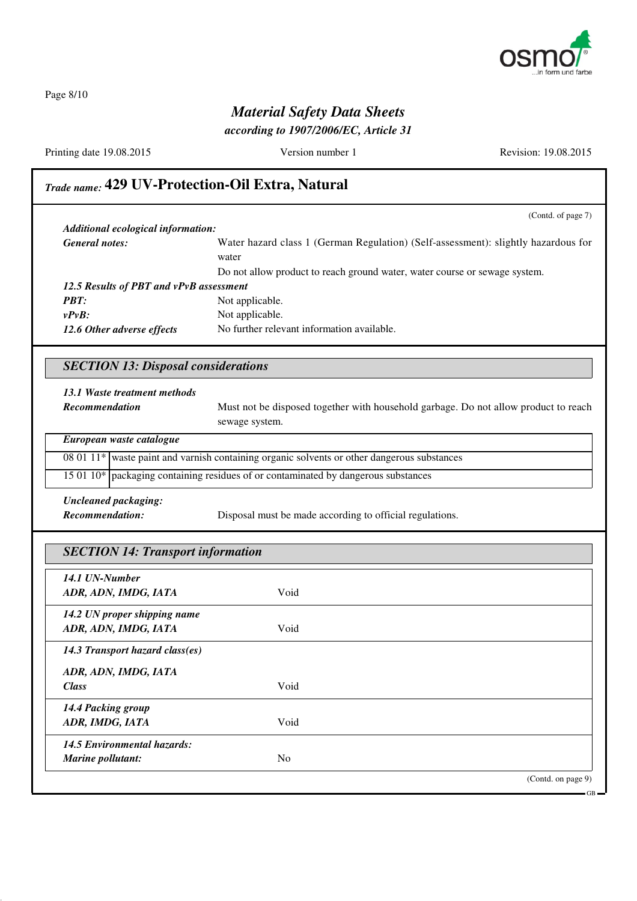

Page 8/10

## *Material Safety Data Sheets*

*according to 1907/2006/EC, Article 31*

Printing date 19.08.2015 Version number 1 Revision: 19.08.2015

## *Trade name:* **429 UV-Protection-Oil Extra, Natural**

|                                                                                                          | (Contd. of page 7)                                                                          |
|----------------------------------------------------------------------------------------------------------|---------------------------------------------------------------------------------------------|
| Additional ecological information:                                                                       |                                                                                             |
| <b>General notes:</b>                                                                                    | Water hazard class 1 (German Regulation) (Self-assessment): slightly hazardous for          |
|                                                                                                          | water                                                                                       |
|                                                                                                          | Do not allow product to reach ground water, water course or sewage system.                  |
| 12.5 Results of PBT and vPvB assessment                                                                  |                                                                                             |
| <b>PBT:</b>                                                                                              | Not applicable.                                                                             |
| $v P v R$ :                                                                                              | Not applicable.                                                                             |
| 12.6 Other adverse effects                                                                               | No further relevant information available.                                                  |
|                                                                                                          |                                                                                             |
| <b>SECTION 13: Disposal considerations</b>                                                               |                                                                                             |
| 13.1 Waste treatment methods                                                                             |                                                                                             |
| <b>Recommendation</b>                                                                                    | Must not be disposed together with household garbage. Do not allow product to reach         |
|                                                                                                          | sewage system.                                                                              |
| European waste catalogue                                                                                 |                                                                                             |
|                                                                                                          | 08 01 11* waste paint and varnish containing organic solvents or other dangerous substances |
|                                                                                                          | 15 01 10* packaging containing residues of or contaminated by dangerous substances          |
| <b>Uncleaned packaging:</b>                                                                              |                                                                                             |
| <b>Recommendation:</b>                                                                                   | Disposal must be made according to official regulations.                                    |
|                                                                                                          |                                                                                             |
| <b>SECTION 14: Transport information</b>                                                                 |                                                                                             |
| 14.1 UN-Number                                                                                           |                                                                                             |
| ADR, ADN, IMDG, IATA                                                                                     | Void                                                                                        |
| 14.2 UN proper shipping name                                                                             |                                                                                             |
| $\mathbf{D} \mathbf{D}$ in $\mathbf{D} \mathbf{M}$ in $\mathbf{D} \mathbf{D}$ in $\mathbf{D} \mathbf{M}$ | $T T$ . $T$ . 1                                                                             |

*ADR, ADN, IMDG, IATA* Void *14.3 Transport hazard class(es) ADR, ADN, IMDG, IATA Class* Void *14.4 Packing group ADR, IMDG, IATA* Void *14.5 Environmental hazards: Marine pollutant:* No (Contd. on page 9)

GB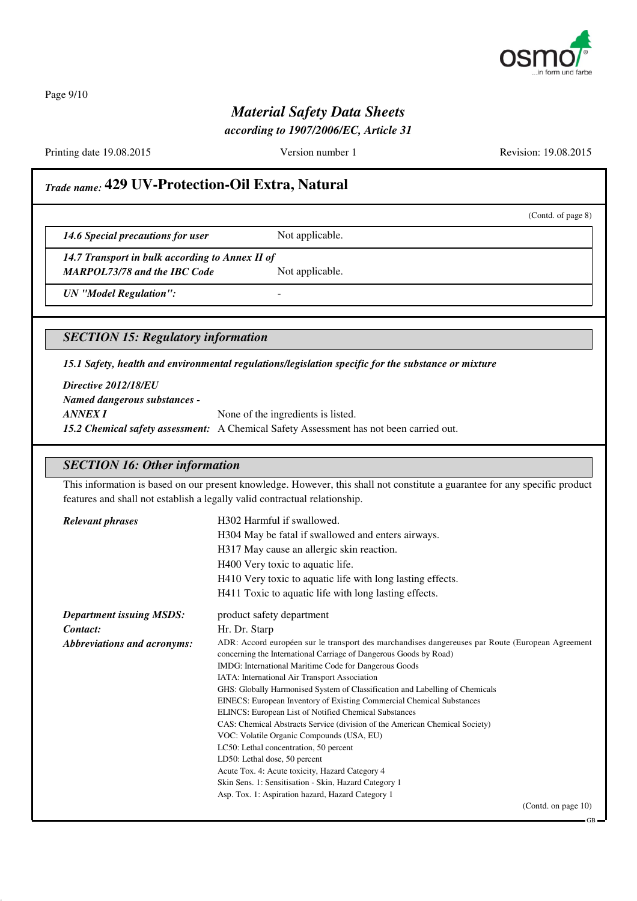

Page 9/10

## *Material Safety Data Sheets*

*according to 1907/2006/EC, Article 31*

Printing date 19.08.2015 Version number 1 Revision: 19.08.2015

(Contd. of page 8)

## *Trade name:* **429 UV-Protection-Oil Extra, Natural**

**14.6 Special precautions for user** Not applicable.

*14.7 Transport in bulk according to Annex II of*

*MARPOL73/78 and the IBC Code* Not applicable.

*UN "Model Regulation":* -

*SECTION 15: Regulatory information*

*15.1 Safety, health and environmental regulations/legislation specific for the substance or mixture*

*Directive 2012/18/EU Named dangerous substances - ANNEX I* None of the ingredients is listed. *15.2 Chemical safety assessment:* A Chemical Safety Assessment has not been carried out.

#### *SECTION 16: Other information*

This information is based on our present knowledge. However, this shall not constitute a guarantee for any specific product features and shall not establish a legally valid contractual relationship.

| <b>Relevant phrases</b>            | H302 Harmful if swallowed.                                                                                                                                            |
|------------------------------------|-----------------------------------------------------------------------------------------------------------------------------------------------------------------------|
|                                    | H304 May be fatal if swallowed and enters airways.                                                                                                                    |
|                                    | H317 May cause an allergic skin reaction.                                                                                                                             |
|                                    | H400 Very toxic to aquatic life.                                                                                                                                      |
|                                    | H410 Very toxic to aquatic life with long lasting effects.                                                                                                            |
|                                    | H411 Toxic to aquatic life with long lasting effects.                                                                                                                 |
| <b>Department issuing MSDS:</b>    | product safety department                                                                                                                                             |
| Contact:                           | Hr. Dr. Starp                                                                                                                                                         |
| <b>Abbreviations and acronyms:</b> | ADR: Accord européen sur le transport des marchandises dangereuses par Route (European Agreement<br>concerning the International Carriage of Dangerous Goods by Road) |
|                                    | IMDG: International Maritime Code for Dangerous Goods                                                                                                                 |
|                                    | IATA: International Air Transport Association                                                                                                                         |
|                                    | GHS: Globally Harmonised System of Classification and Labelling of Chemicals                                                                                          |
|                                    | EINECS: European Inventory of Existing Commercial Chemical Substances                                                                                                 |
|                                    | ELINCS: European List of Notified Chemical Substances                                                                                                                 |
|                                    | CAS: Chemical Abstracts Service (division of the American Chemical Society)                                                                                           |
|                                    | VOC: Volatile Organic Compounds (USA, EU)                                                                                                                             |
|                                    | LC50: Lethal concentration, 50 percent                                                                                                                                |
|                                    | LD50: Lethal dose, 50 percent                                                                                                                                         |
|                                    | Acute Tox. 4: Acute toxicity, Hazard Category 4                                                                                                                       |
|                                    | Skin Sens. 1: Sensitisation - Skin, Hazard Category 1                                                                                                                 |
|                                    | Asp. Tox. 1: Aspiration hazard, Hazard Category 1                                                                                                                     |
|                                    | (Contd. on page 10)                                                                                                                                                   |

GB